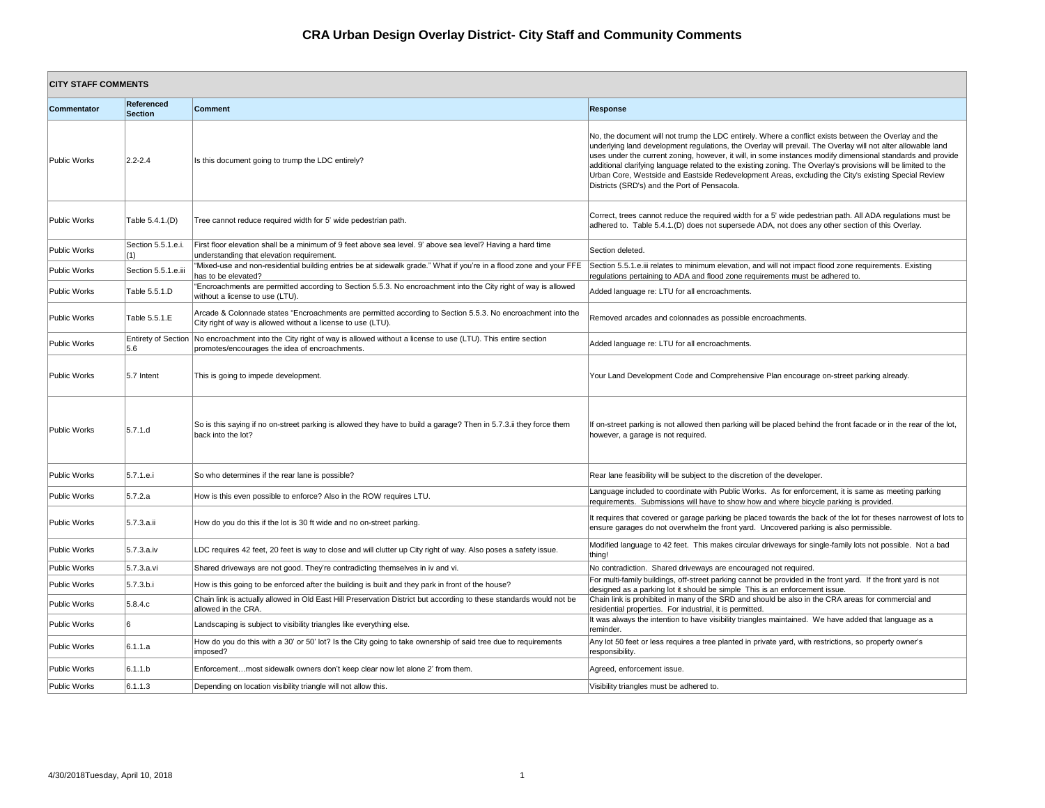| <b>CITY STAFF COMMENTS</b> |                           |                                                                                                                                                                                 |                                                                                                                                                                                        |
|----------------------------|---------------------------|---------------------------------------------------------------------------------------------------------------------------------------------------------------------------------|----------------------------------------------------------------------------------------------------------------------------------------------------------------------------------------|
| Commentator                | Referenced<br>Section     | <b>Comment</b>                                                                                                                                                                  | <b>Response</b>                                                                                                                                                                        |
| Public Works               | $ 2.2 - 2.4 $             | Is this document going to trump the LDC entirely?                                                                                                                               | No, the document will not tr<br>underlying land developmer<br>uses under the current zoni<br>additional clarifying languag<br>Urban Core, Westside and<br>Districts (SRD's) and the Po |
| Public Works               | Table 5.4.1.(D)           | Tree cannot reduce required width for 5' wide pedestrian path.                                                                                                                  | Correct, trees cannot reduc<br>adhered to. Table 5.4.1.(D)                                                                                                                             |
| Public Works               | Section 5.5.1.e.i.<br>(1) | First floor elevation shall be a minimum of 9 feet above sea level. 9' above sea level? Having a hard time<br>understanding that elevation requirement.                         | Section deleted.                                                                                                                                                                       |
| Public Works               | Section 5.5.1.e.iii       | "Mixed-use and non-residential building entries be at sidewalk grade." What if you're in a flood zone and your FFE<br>has to be elevated?                                       | Section 5.5.1.e.iii relates to<br>regulations pertaining to AD                                                                                                                         |
| Public Works               | Table 5.5.1.D             | "Encroachments are permitted according to Section 5.5.3. No encroachment into the City right of way is allowed<br>without a license to use (LTU).                               | Added language re: LTU for                                                                                                                                                             |
| Public Works               | Table 5.5.1.E             | Arcade & Colonnade states "Encroachments are permitted according to Section 5.5.3. No encroachment into the<br>City right of way is allowed without a license to use (LTU).     | Removed arcades and colo                                                                                                                                                               |
| Public Works               | 5.6                       | Entirety of Section No encroachment into the City right of way is allowed without a license to use (LTU). This entire section<br>promotes/encourages the idea of encroachments. | Added language re: LTU for                                                                                                                                                             |
| Public Works               | 5.7 Intent                | This is going to impede development.                                                                                                                                            | Your Land Development Co                                                                                                                                                               |
| Public Works               | 5.7.1.d                   | So is this saying if no on-street parking is allowed they have to build a garage? Then in 5.7.3.ii they force them<br>back into the lot?                                        | If on-street parking is not al<br>however, a garage is not re                                                                                                                          |
| Public Works               | 5.7.1.e.                  | So who determines if the rear lane is possible?                                                                                                                                 | Rear lane feasibility will be a                                                                                                                                                        |
| Public Works               | 5.7.2.a                   | How is this even possible to enforce? Also in the ROW requires LTU.                                                                                                             | Language included to coord<br>requirements. Submissions                                                                                                                                |
| Public Works               | 5.7.3.a.ii                | How do you do this if the lot is 30 ft wide and no on-street parking.                                                                                                           | It requires that covered or g<br>ensure garages do not over                                                                                                                            |
| Public Works               | 5.7.3.a.iv                | LDC requires 42 feet, 20 feet is way to close and will clutter up City right of way. Also poses a safety issue.                                                                 | Modified language to 42 fee<br>thing!                                                                                                                                                  |
| Public Works               | 5.7.3.a.vi                | Shared driveways are not good. They're contradicting themselves in iv and vi.                                                                                                   | No contradiction. Shared d                                                                                                                                                             |
| Public Works               | 5.7.3 b.i                 | How is this going to be enforced after the building is built and they park in front of the house?                                                                               | For multi-family buildings, of<br>designed as a parking lot it                                                                                                                         |
| Public Works               | 5.8.4.c                   | Chain link is actually allowed in Old East Hill Preservation District but according to these standards would not be<br>allowed in the CRA.                                      | Chain link is prohibited in m<br>residential properties. For i                                                                                                                         |
| Public Works               | 16                        | Landscaping is subject to visibility triangles like everything else.                                                                                                            | It was always the intention t<br>reminder.                                                                                                                                             |
| Public Works               | 6.1.1.a                   | How do you do this with a 30' or 50' lot? Is the City going to take ownership of said tree due to requirements<br>imposed?                                                      | Any lot 50 feet or less requi<br>responsibility.                                                                                                                                       |
| Public Works               | 6.1.1.b                   | Enforcementmost sidewalk owners don't keep clear now let alone 2' from them.                                                                                                    | Agreed, enforcement issue.                                                                                                                                                             |
| Public Works               | 6.1.1.3                   | Depending on location visibility triangle will not allow this.                                                                                                                  | Visibility triangles must be a                                                                                                                                                         |

ument will not trump the LDC entirely. Where a conflict exists between the Overlay and the and development regulations, the Overlay will prevail. The Overlay will not alter allowable land the current zoning, however, it will, in some instances modify dimensional standards and provide larifying language related to the existing zoning. The Overlay's provisions will be limited to the , Westside and Eastside Redevelopment Areas, excluding the City's existing Special Review RD's) and the Port of Pensacola.

es cannot reduce the required width for a 5' wide pedestrian path. All ADA regulations must be Table 5.4.1.(D) does not supersede ADA, not does any other section of this Overlay.

.1.e.iii relates to minimum elevation, and will not impact flood zone requirements. Existing pertaining to ADA and flood zone requirements must be adhered to.

uage re: LTU for all encroachments.

rcades and colonnades as possible encroachments.

uage re: LTU for all encroachments.

Development Code and Comprehensive Plan encourage on-street parking already.

parking is not allowed then parking will be placed behind the front facade or in the rear of the lot, garage is not required.

easibility will be subject to the discretion of the developer.

ncluded to coordinate with Public Works. As for enforcement, it is same as meeting parking ts. Submissions will have to show how and where bicycle parking is provided.

hat covered or garage parking be placed towards the back of the lot for theses narrowest of lots to ages do not overwhelm the front yard. Uncovered parking is also permissible.

iguage to 42 feet. This makes circular driveways for single-family lots not possible. Not a bad

ction. Shared driveways are encouraged not required.

mily buildings, off-street parking cannot be provided in the front yard. If the front yard is not a parking lot it should be simple This is an enforcement issue. s prohibited in many of the SRD and should be also in the CRA areas for commercial and properties. For industrial, it is permitted.

ys the intention to have visibility triangles maintained. We have added that language as a

eet or less requires a tree planted in private yard, with restrictions, so property owner's

ngles must be adhered to.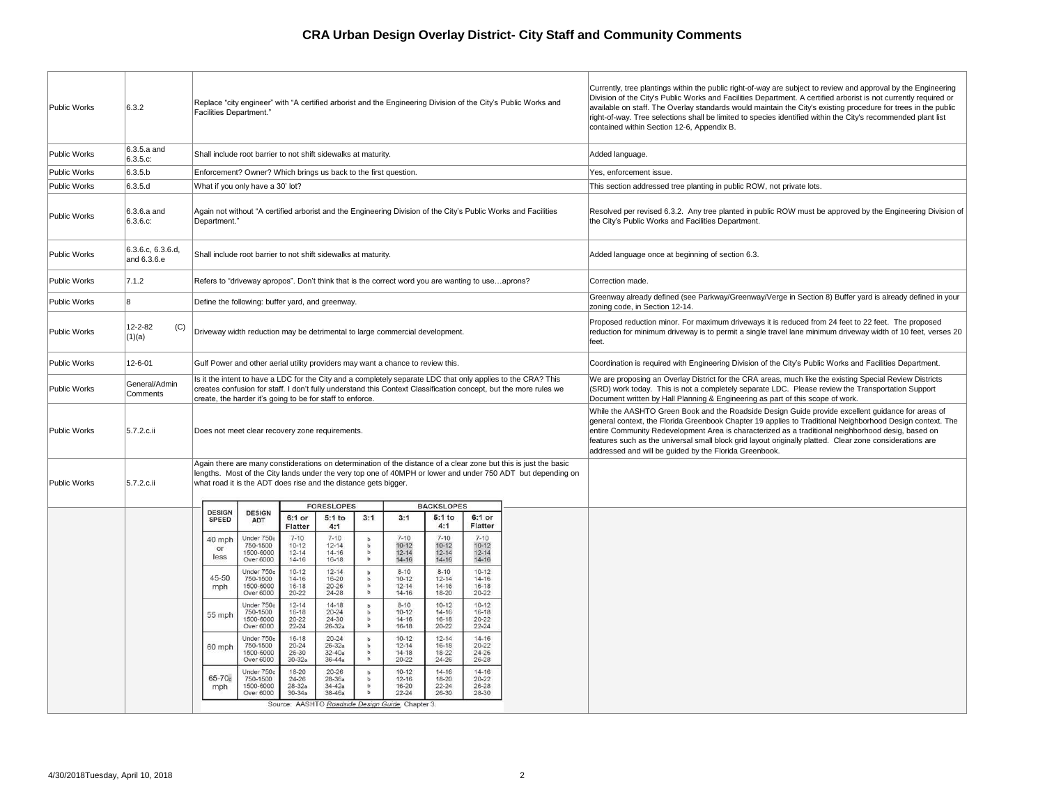| Public Works        | 6.3.2                            | <b>Facilities Department."</b> |                                                                                                                                                                                                                                                                                               |                                                 |                                                 |                  |                                                  |                                                                                                                                        |                                                                              | Replace "city engineer" with "A certified arborist and the Engineering Division of the City's Public Works and                                                                                                                  | Currently, tree plantings<br>Division of the City's Pub<br>available on staff. The O<br>right-of-way. Tree selecti<br>contained within Section |
|---------------------|----------------------------------|--------------------------------|-----------------------------------------------------------------------------------------------------------------------------------------------------------------------------------------------------------------------------------------------------------------------------------------------|-------------------------------------------------|-------------------------------------------------|------------------|--------------------------------------------------|----------------------------------------------------------------------------------------------------------------------------------------|------------------------------------------------------------------------------|---------------------------------------------------------------------------------------------------------------------------------------------------------------------------------------------------------------------------------|------------------------------------------------------------------------------------------------------------------------------------------------|
| Public Works        | 6.3.5.a and<br>6.3.5.c.          |                                | Shall include root barrier to not shift sidewalks at maturity.                                                                                                                                                                                                                                |                                                 |                                                 |                  |                                                  |                                                                                                                                        |                                                                              |                                                                                                                                                                                                                                 | Added language.                                                                                                                                |
| <b>Public Works</b> | 6.3.5.b                          |                                | Enforcement? Owner? Which brings us back to the first question.                                                                                                                                                                                                                               |                                                 |                                                 |                  |                                                  |                                                                                                                                        |                                                                              |                                                                                                                                                                                                                                 | Yes, enforcement issue.                                                                                                                        |
| <b>Public Works</b> | 6.3.5.d                          |                                | What if you only have a 30' lot?                                                                                                                                                                                                                                                              |                                                 |                                                 |                  |                                                  |                                                                                                                                        |                                                                              |                                                                                                                                                                                                                                 | This section addressed t                                                                                                                       |
| Public Works        | $6.3.6.a$ and<br>6.3.6.c.        | Department."                   | Again not without "A certified arborist and the Engineering Division of the City's Public Works and Facilities                                                                                                                                                                                |                                                 |                                                 |                  |                                                  |                                                                                                                                        |                                                                              | Resolved per revised 6.3<br>the City's Public Works a                                                                                                                                                                           |                                                                                                                                                |
| Public Works        | 6.3.6.c, 6.3.6.d,<br>and 6.3.6.e |                                | Shall include root barrier to not shift sidewalks at maturity.                                                                                                                                                                                                                                |                                                 |                                                 |                  |                                                  |                                                                                                                                        |                                                                              |                                                                                                                                                                                                                                 | Added language once at                                                                                                                         |
| Public Works        | 7.1.2                            |                                | Refers to "driveway apropos". Don't think that is the correct word you are wanting to useaprons?                                                                                                                                                                                              |                                                 |                                                 |                  |                                                  |                                                                                                                                        |                                                                              |                                                                                                                                                                                                                                 | Correction made.                                                                                                                               |
| Public Works        | 8                                |                                | Define the following: buffer yard, and greenway.                                                                                                                                                                                                                                              |                                                 |                                                 |                  |                                                  |                                                                                                                                        |                                                                              |                                                                                                                                                                                                                                 | Greenway already define<br>zoning code, in Section 1                                                                                           |
| Public Works        | 12-2-82<br>(C)<br>(1)(a)         |                                | Driveway width reduction may be detrimental to large commercial development.                                                                                                                                                                                                                  |                                                 |                                                 |                  |                                                  |                                                                                                                                        |                                                                              |                                                                                                                                                                                                                                 | Proposed reduction mind<br>reduction for minimum dr<br>feet.                                                                                   |
| Public Works        | $12 - 6 - 01$                    |                                | Gulf Power and other aerial utility providers may want a chance to review this.                                                                                                                                                                                                               |                                                 |                                                 |                  |                                                  | Coordination is required                                                                                                               |                                                                              |                                                                                                                                                                                                                                 |                                                                                                                                                |
| Public Works        | General/Admin<br>Comments        |                                | Is it the intent to have a LDC for the City and a completely separate LDC that only applies to the CRA? This<br>creates confusion for staff. I don't fully understand this Context Classification concept, but the more rules we<br>create, the harder it's going to be for staff to enforce. |                                                 |                                                 |                  |                                                  |                                                                                                                                        | We are proposing an Ov<br>(SRD) work today. This<br>Document written by Hall |                                                                                                                                                                                                                                 |                                                                                                                                                |
| Public Works        | 5.7.2.c.ii                       |                                | Does not meet clear recovery zone requirements.                                                                                                                                                                                                                                               |                                                 |                                                 |                  |                                                  | While the AASHTO Gree<br>general context, the Flori<br>entire Community Redev<br>features such as the univ<br>addressed and will be gu |                                                                              |                                                                                                                                                                                                                                 |                                                                                                                                                |
| Public Works        | 5.7.2.c.ii                       |                                | what road it is the ADT does rise and the distance gets bigger.                                                                                                                                                                                                                               |                                                 |                                                 |                  |                                                  |                                                                                                                                        |                                                                              | Again there are many constiderations on determination of the distance of a clear zone but this is just the basic<br>lengths. Most of the City lands under the very top one of 40MPH or lower and under 750 ADT but depending on |                                                                                                                                                |
|                     |                                  | <b>DESIGN</b>                  |                                                                                                                                                                                                                                                                                               |                                                 | <b>FORESLOPES</b>                               |                  |                                                  | <b>BACKSLOPES</b>                                                                                                                      |                                                                              |                                                                                                                                                                                                                                 |                                                                                                                                                |
|                     |                                  | <b>SPEED</b>                   | <b>DESIGN</b><br>ADT                                                                                                                                                                                                                                                                          | 6:1 or<br>Flatter                               | $5:1$ to<br>4:1                                 | 3:1              | 3:1                                              | $5:1$ to<br>4:1                                                                                                                        | 6:1 or<br><b>Flatter</b>                                                     |                                                                                                                                                                                                                                 |                                                                                                                                                |
|                     |                                  | 40 mph<br>or<br>less           | Under 750c<br>750-1500<br>1500-6000<br>Over 6000                                                                                                                                                                                                                                              | $7 - 10$<br>$10 - 12$<br>$12 - 14$<br>$14 - 16$ | $7 - 10$<br>$12 - 14$<br>$14 - 16$<br>$16 - 18$ | ь<br>ь<br>b<br>ъ | $7 - 10$<br>$10 - 12$<br>$12 - 14$<br>$14 - 16$  | $7 - 10$<br>$10 - 12$<br>$12 - 14$<br>$14 - 16$                                                                                        | $7 - 10$<br>$10 - 12$<br>$12 - 14$<br>14-16                                  |                                                                                                                                                                                                                                 |                                                                                                                                                |
|                     |                                  | 45-50<br>mph                   | Under 750c<br>750-1500<br>1500-6000<br>Over 6000                                                                                                                                                                                                                                              | $10 - 12$<br>$14 - 16$<br>$16 - 18$<br>20-22    | $12 - 14$<br>16-20<br>20-26<br>24-28            | b<br>b<br>b<br>b | $8 - 10$<br>$10 - 12$<br>$12 - 14$<br>14-16      | $8 - 10$<br>$12 - 14$<br>$14 - 16$<br>18-20                                                                                            | $10 - 12$<br>$14 - 16$<br>16-18<br>$20 - 22$                                 |                                                                                                                                                                                                                                 |                                                                                                                                                |
|                     |                                  | 55 mph                         | Under 750c<br>750-1500<br>1500-6000<br>Over 6000                                                                                                                                                                                                                                              | $12 - 14$<br>$16 - 18$<br>20-22<br>$22 - 24$    | $14 - 18$<br>$20 - 24$<br>24-30<br>$26 - 32a$   | b<br>b<br>b<br>b | $8 - 10$<br>$10 - 12$<br>$14 - 16$<br>$16 - 18$  | $10 - 12$<br>$14 - 16$<br>$16 - 18$<br>$20 - 22$                                                                                       | $10 - 12$<br>$16 - 18$<br>20-22<br>$22 - 24$                                 |                                                                                                                                                                                                                                 |                                                                                                                                                |
|                     |                                  | 60 mph                         | Under 750c<br>750-1500<br>1500-6000<br>Over 6000                                                                                                                                                                                                                                              | 16-18<br>$20 - 24$<br>$26 - 30$<br>$30 - 32a$   | $20 - 24$<br>$26 - 32a$<br>32-40a<br>$36 - 44a$ | ъ<br>b<br>ь<br>ь | $10 - 12$<br>$12 - 14$<br>$14 - 18$<br>20-22     | $12 - 14$<br>$16 - 18$<br>18-22<br>$24 - 26$                                                                                           | $14 - 16$<br>$20 - 22$<br>24-26<br>26-28                                     |                                                                                                                                                                                                                                 |                                                                                                                                                |
|                     |                                  | 65-70d<br>mph                  | Under 750c<br>750-1500<br>1500-6000<br>Over 6000                                                                                                                                                                                                                                              | 18-20<br>24-26<br>$28 - 32a$<br>$30 - 34a$      | $20 - 26$<br>28-36a<br>$34 - 42a$<br>38-46a     | ь<br>b<br>b<br>ь | $10 - 12$<br>$12 - 16$<br>16-20<br>$22 - 24$     | $14 - 16$<br>18-20<br>$22 - 24$<br>26-30                                                                                               | 14-16<br>$20 - 22$<br>26-28<br>28-30                                         |                                                                                                                                                                                                                                 |                                                                                                                                                |
|                     |                                  |                                |                                                                                                                                                                                                                                                                                               |                                                 |                                                 |                  | Source: AASHTO Roadside Design Guide, Chapter 3. |                                                                                                                                        |                                                                              |                                                                                                                                                                                                                                 |                                                                                                                                                |

ee plantings within the public right-of-way are subject to review and approval by the Engineering the City's Public Works and Facilities Department. A certified arborist is not currently required or i staff. The Overlay standards would maintain the City's existing procedure for trees in the public . Tree selections shall be limited to species identified within the City's recommended plant list vithin Section 12-6, Appendix B.

 $\alpha$  addressed tree planting in public ROW, not private lots.

er revised 6.3.2. Any tree planted in public ROW must be approved by the Engineering Division of ublic Works and Facilities Department.

uage once at beginning of section 6.3.

already defined (see Parkway/Greenway/Verge in Section 8) Buffer yard is already defined in your e, in Section 12-14.

eduction minor. For maximum driveways it is reduced from 24 feet to 22 feet. The proposed r minimum driveway is to permit a single travel lane minimum driveway width of 10 feet, verses 20

n is required with Engineering Division of the City's Public Works and Facilities Department.

posing an Overlay District for the CRA areas, much like the existing Special Review Districts today. This is not a completely separate LDC. Please review the Transportation Support written by Hall Planning & Engineering as part of this scope of work.

ASHTO Green Book and the Roadside Design Guide provide excellent guidance for areas of text, the Florida Greenbook Chapter 19 applies to Traditional Neighborhood Design context. The munity Redevelopment Area is characterized as a traditional neighborhood desig, based on ch as the universal small block grid layout originally platted. Clear zone considerations are and will be guided by the Florida Greenbook.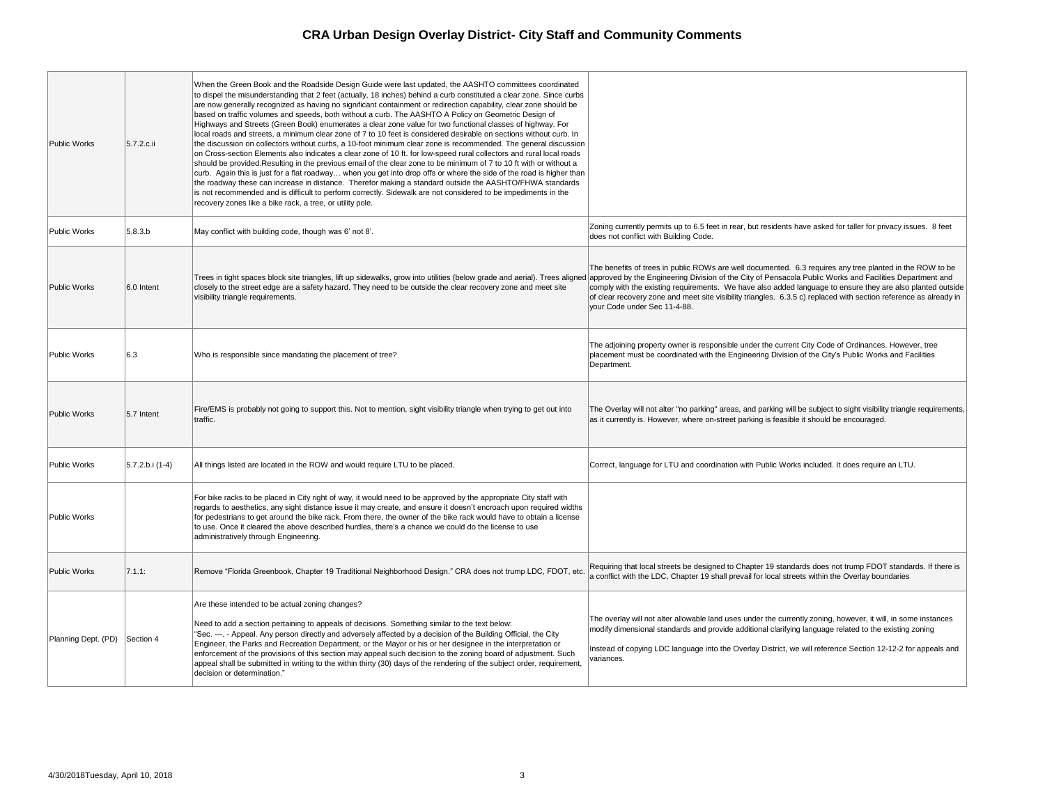| <b>Public Works</b> | 5.7.2.c.ii      | When the Green Book and the Roadside Design Guide were last updated, the AASHTO committees coordinated<br>to dispel the misunderstanding that 2 feet (actually, 18 inches) behind a curb constituted a clear zone. Since curbs<br>are now generally recognized as having no significant containment or redirection capability, clear zone should be<br>based on traffic volumes and speeds, both without a curb. The AASHTO A Policy on Geometric Design of<br>Highways and Streets (Green Book) enumerates a clear zone value for two functional classes of highway. For<br>local roads and streets, a minimum clear zone of 7 to 10 feet is considered desirable on sections without curb. In<br>the discussion on collectors without curbs, a 10-foot minimum clear zone is recommended. The general discussion<br>on Cross-section Elements also indicates a clear zone of 10 ft. for low-speed rural collectors and rural local roads<br>should be provided. Resulting in the previous email of the clear zone to be minimum of 7 to 10 ft with or without a<br>curb. Again this is just for a flat roadway when you get into drop offs or where the side of the road is higher than<br>the roadway these can increase in distance. Therefor making a standard outside the AASHTO/FHWA standards<br>is not recommended and is difficult to perform correctly. Sidewalk are not considered to be impediments in the<br>recovery zones like a bike rack, a tree, or utility pole. |                                                                 |
|---------------------|-----------------|--------------------------------------------------------------------------------------------------------------------------------------------------------------------------------------------------------------------------------------------------------------------------------------------------------------------------------------------------------------------------------------------------------------------------------------------------------------------------------------------------------------------------------------------------------------------------------------------------------------------------------------------------------------------------------------------------------------------------------------------------------------------------------------------------------------------------------------------------------------------------------------------------------------------------------------------------------------------------------------------------------------------------------------------------------------------------------------------------------------------------------------------------------------------------------------------------------------------------------------------------------------------------------------------------------------------------------------------------------------------------------------------------------------------------------------------------------------------------------------|-----------------------------------------------------------------|
| Public Works        | 5.8.3.b         | May conflict with building code, though was 6' not 8'.                                                                                                                                                                                                                                                                                                                                                                                                                                                                                                                                                                                                                                                                                                                                                                                                                                                                                                                                                                                                                                                                                                                                                                                                                                                                                                                                                                                                                               | Zoning curre<br>does not con                                    |
| <b>Public Works</b> | 6.0 Intent      | Trees in tight spaces block site triangles, lift up sidewalks, grow into utilities (below grade and aerial). Trees aligned approved by<br>closely to the street edge are a safety hazard. They need to be outside the clear recovery zone and meet site<br>visibility triangle requirements.                                                                                                                                                                                                                                                                                                                                                                                                                                                                                                                                                                                                                                                                                                                                                                                                                                                                                                                                                                                                                                                                                                                                                                                         | The benefits<br>comply with t<br>of clear recov<br>your Code ur |
| Public Works        | 6.3             | Who is responsible since mandating the placement of tree?                                                                                                                                                                                                                                                                                                                                                                                                                                                                                                                                                                                                                                                                                                                                                                                                                                                                                                                                                                                                                                                                                                                                                                                                                                                                                                                                                                                                                            | The adjoining<br>placement m<br>Department.                     |
| <b>Public Works</b> | 5.7 Intent      | Fire/EMS is probably not going to support this. Not to mention, sight visibility triangle when trying to get out into<br>traffic.                                                                                                                                                                                                                                                                                                                                                                                                                                                                                                                                                                                                                                                                                                                                                                                                                                                                                                                                                                                                                                                                                                                                                                                                                                                                                                                                                    | The Overlay<br>as it currently                                  |
| Public Works        | 5.7.2.b.i (1-4) | All things listed are located in the ROW and would require LTU to be placed.                                                                                                                                                                                                                                                                                                                                                                                                                                                                                                                                                                                                                                                                                                                                                                                                                                                                                                                                                                                                                                                                                                                                                                                                                                                                                                                                                                                                         | Correct, lang                                                   |
| Public Works        |                 | For bike racks to be placed in City right of way, it would need to be approved by the appropriate City staff with<br>regards to aesthetics, any sight distance issue it may create, and ensure it doesn't encroach upon required widths<br>for pedestrians to get around the bike rack. From there, the owner of the bike rack would have to obtain a license<br>to use. Once it cleared the above described hurdles, there's a chance we could do the license to use<br>administratively through Engineering.                                                                                                                                                                                                                                                                                                                                                                                                                                                                                                                                                                                                                                                                                                                                                                                                                                                                                                                                                                       |                                                                 |
| <b>Public Works</b> | 7.1.1:          | Remove "Florida Greenbook, Chapter 19 Traditional Neighborhood Design." CRA does not trump LDC, FDOT, etc.                                                                                                                                                                                                                                                                                                                                                                                                                                                                                                                                                                                                                                                                                                                                                                                                                                                                                                                                                                                                                                                                                                                                                                                                                                                                                                                                                                           | Requiring tha<br>a conflict with                                |
| Planning Dept. (PD) | Section 4       | Are these intended to be actual zoning changes?<br>Need to add a section pertaining to appeals of decisions. Something similar to the text below:<br>'Sec. ---. - Appeal. Any person directly and adversely affected by a decision of the Building Official, the City<br>Engineer, the Parks and Recreation Department, or the Mayor or his or her designee in the interpretation or<br>enforcement of the provisions of this section may appeal such decision to the zoning board of adjustment. Such<br>appeal shall be submitted in writing to the within thirty (30) days of the rendering of the subject order, requirement,<br>decision or determination."                                                                                                                                                                                                                                                                                                                                                                                                                                                                                                                                                                                                                                                                                                                                                                                                                     | The overlay \<br>modify dimer<br>Instead of co<br>variances.    |

ently permits up to 6.5 feet in rear, but residents have asked for taller for privacy issues. 8 feet Inflict with Building Code.

s of trees in public ROWs are well documented. 6.3 requires any tree planted in the ROW to be y the Engineering Division of the City of Pensacola Public Works and Facilities Department and the existing requirements. We have also added language to ensure they are also planted outside overy zone and meet site visibility triangles. 6.3.5 c) replaced with section reference as already in under Sec 11-4-88.

ng property owner is responsible under the current City Code of Ordinances. However, tree must be coordinated with the Engineering Division of the City's Public Works and Facilities

y will not alter "no parking" areas, and parking will be subject to sight visibility triangle requirements, Iy is. However, where on-street parking is feasible it should be encouraged.

guage for LTU and coordination with Public Works included. It does require an LTU.

at local streets be designed to Chapter 19 standards does not trump FDOT standards. If there is ith the LDC, Chapter 19 shall prevail for local streets within the Overlay boundaries

will not alter allowable land uses under the currently zoning, however, it will, in some instances ensional standards and provide additional clarifying language related to the existing zoning

opying LDC language into the Overlay District, we will reference Section 12-12-2 for appeals and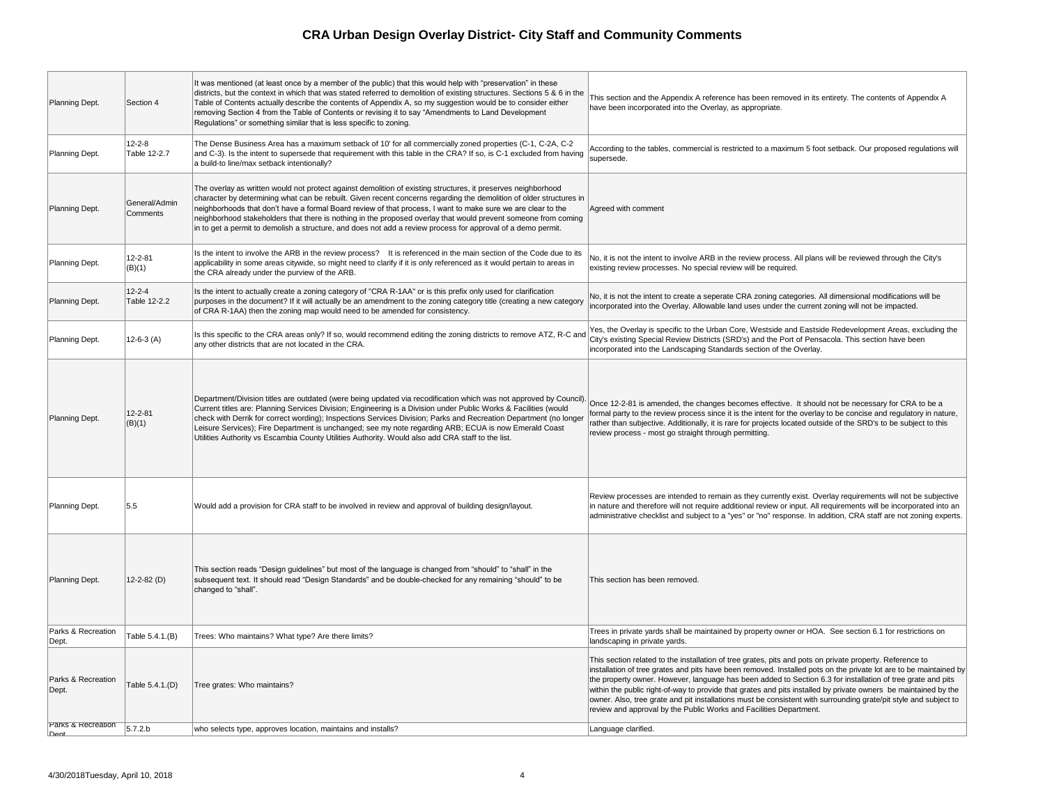| Planning Dept.                        | Section 4                    | It was mentioned (at least once by a member of the public) that this would help with "preservation" in these<br>districts, but the context in which that was stated referred to demolition of existing structures. Sections 5 & 6 in the<br>Table of Contents actually describe the contents of Appendix A, so my suggestion would be to consider either<br>removing Section 4 from the Table of Contents or revising it to say "Amendments to Land Development<br>Regulations" or something similar that is less specific to zoning.                                                  | This section and the<br>have been incorpor                                                                                                    |
|---------------------------------------|------------------------------|----------------------------------------------------------------------------------------------------------------------------------------------------------------------------------------------------------------------------------------------------------------------------------------------------------------------------------------------------------------------------------------------------------------------------------------------------------------------------------------------------------------------------------------------------------------------------------------|-----------------------------------------------------------------------------------------------------------------------------------------------|
| Planning Dept.                        | $12 - 2 - 8$<br>Table 12-2.7 | The Dense Business Area has a maximum setback of 10' for all commercially zoned properties (C-1, C-2A, C-2<br>and C-3). Is the intent to supersede that requirement with this table in the CRA? If so, is C-1 excluded from having<br>a build-to line/max setback intentionally?                                                                                                                                                                                                                                                                                                       | According to the tal<br>supersede.                                                                                                            |
| Planning Dept.                        | General/Admin<br>Comments    | The overlay as written would not protect against demolition of existing structures, it preserves neighborhood<br>character by determining what can be rebuilt. Given recent concerns regarding the demolition of older structures in<br>neighborhoods that don't have a formal Board review of that process, I want to make sure we are clear to the<br>neighborhood stakeholders that there is nothing in the proposed overlay that would prevent someone from coming<br>in to get a permit to demolish a structure, and does not add a review process for approval of a demo permit. | Agreed with comme                                                                                                                             |
| Planning Dept.                        | $12 - 2 - 81$<br>(B)(1)      | Is the intent to involve the ARB in the review process? It is referenced in the main section of the Code due to its<br>applicability in some areas citywide, so might need to clarify if it is only referenced as it would pertain to areas in<br>the CRA already under the purview of the ARB.                                                                                                                                                                                                                                                                                        | No, it is not the inte<br>existing review prod                                                                                                |
| Planning Dept.                        | $12 - 2 - 4$<br>Table 12-2.2 | Is the intent to actually create a zoning category of "CRA R-1AA" or is this prefix only used for clarification<br>purposes in the document? If it will actually be an amendment to the zoning category title (creating a new category<br>of CRA R-1AA) then the zoning map would need to be amended for consistency.                                                                                                                                                                                                                                                                  | No, it is not the inte<br>incorporated into th                                                                                                |
| Planning Dept.                        | $12-6-3(A)$                  | Is this specific to the CRA areas only? If so, would recommend editing the zoning districts to remove ATZ, R-C and<br>any other districts that are not located in the CRA.                                                                                                                                                                                                                                                                                                                                                                                                             | Yes, the Overlay is<br>City's existing Spec<br>incorporated into th                                                                           |
| Planning Dept.                        | $12 - 2 - 81$<br>(B)(1)      | Department/Division titles are outdated (were being updated via recodification which was not approved by Council).<br>Current titles are: Planning Services Division; Engineering is a Division under Public Works & Facilities (would<br>check with Derrik for correct wording); Inspections Services Division; Parks and Recreation Department (no longer<br>Leisure Services); Fire Department is unchanged; see my note regarding ARB; ECUA is now Emerald Coast<br>Utilities Authority vs Escambia County Utilities Authority. Would also add CRA staff to the list.              | Once 12-2-81 is am<br>formal party to the r<br>rather than subjectiv<br>review process - mo                                                   |
| Planning Dept.                        | 5.5                          | Would add a provision for CRA staff to be involved in review and approval of building design/layout.                                                                                                                                                                                                                                                                                                                                                                                                                                                                                   | Review processes a<br>in nature and theref<br>administrative chec                                                                             |
| Planning Dept.                        | 12-2-82 $(D)$                | This section reads "Design guidelines" but most of the language is changed from "should" to "shall" in the<br>subsequent text. It should read "Design Standards" and be double-checked for any remaining "should" to be<br>changed to "shall".                                                                                                                                                                                                                                                                                                                                         | This section has be                                                                                                                           |
| Parks & Recreation<br>Dept.           | Table 5.4.1.(B)              | Trees: Who maintains? What type? Are there limits?                                                                                                                                                                                                                                                                                                                                                                                                                                                                                                                                     | Trees in private yar<br>landscaping in priva                                                                                                  |
| Parks & Recreation<br>Dept.           | Table 5.4.1.(D)              | Tree grates: Who maintains?                                                                                                                                                                                                                                                                                                                                                                                                                                                                                                                                                            | This section related<br>installation of tree g<br>the property owner.<br>within the public rigl<br>owner. Also, tree gr<br>review and approva |
| <b>Parks &amp; Recreation</b><br>Dent | 5.7.2 b                      | who selects type, approves location, maintains and installs?                                                                                                                                                                                                                                                                                                                                                                                                                                                                                                                           | Language clarified.                                                                                                                           |

i and the Appendix A reference has been removed in its entirety. The contents of Appendix A incorporated into the Overlay, as appropriate.

to the tables, commercial is restricted to a maximum 5 foot setback. Our proposed regulations will

ا comment

the intent to involve ARB in the review process. All plans will be reviewed through the City's iew processes. No special review will be required.

the intent to create a seperate CRA zoning categories. All dimensional modifications will be d into the Overlay. Allowable land uses under the current zoning will not be impacted.

verlay is specific to the Urban Core, Westside and Eastside Redevelopment Areas, excluding the ng Special Review Districts (SRD's) and the Port of Pensacola. This section have been d into the Landscaping Standards section of the Overlay.

81 is amended, the changes becomes effective. It should not be necessary for CRA to be a  $\alpha$  to the review process since it is the intent for the overlay to be concise and regulatory in nature, subjective. Additionally, it is rare for projects located outside of the SRD's to be subject to this ess - most go straight through permitting.

cesses are intended to remain as they currently exist. Overlay requirements will not be subjective nd therefore will not require additional review or input. All requirements will be incorporated into an ve checklist and subject to a "yes" or "no" response. In addition, CRA staff are not zoning experts.

has been removed.

vate yards shall be maintained by property owner or HOA. See section 6.1 for restrictions on in private yards.

I related to the installation of tree grates, pits and pots on private property. Reference to of tree grates and pits have been removed. Installed pots on the private lot are to be maintained by owner. However, language has been added to Section 6.3 for installation of tree grate and pits ublic right-of-way to provide that grates and pits installed by private owners be maintained by the , tree grate and pit installations must be consistent with surrounding grate/pit style and subject to approval by the Public Works and Facilities Department.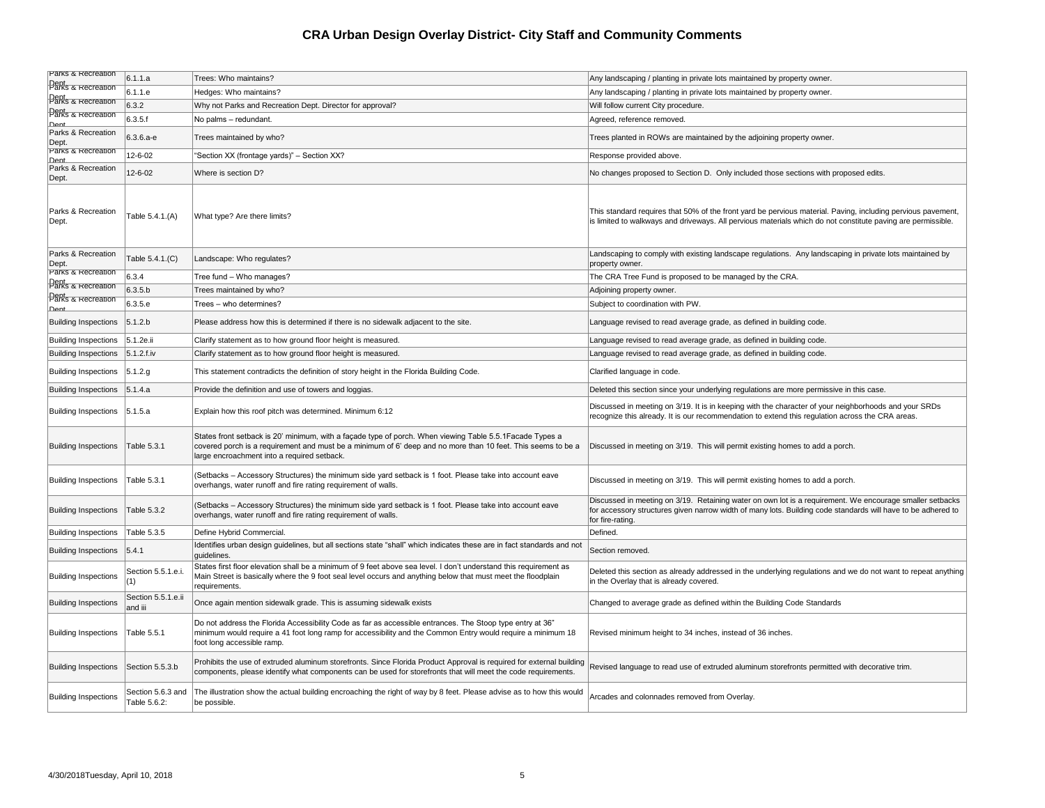| <b>Parks &amp; Recreation</b>                    | 6.1.1.a                       | Trees: Who maintains?                                                                                                                                                                                                                                                    | Any landscaping / planting in private lots maintained by property owner.                                                                                                                                                                     |
|--------------------------------------------------|-------------------------------|--------------------------------------------------------------------------------------------------------------------------------------------------------------------------------------------------------------------------------------------------------------------------|----------------------------------------------------------------------------------------------------------------------------------------------------------------------------------------------------------------------------------------------|
| Dent<br> Parks & Recreation                      | 6.1.1.e                       | Hedges: Who maintains?                                                                                                                                                                                                                                                   | Any landscaping / planting in private lots maintained by property owner.                                                                                                                                                                     |
| <b>Dent</b><br>Parks & Recreation                | 6.3.2                         | Why not Parks and Recreation Dept. Director for approval?                                                                                                                                                                                                                | Will follow current City procedure.                                                                                                                                                                                                          |
| <b>Dent</b><br>Parks & Recreation<br><u>Deni</u> | 6.3.5.f                       | No palms - redundant.                                                                                                                                                                                                                                                    | Agreed, reference removed.                                                                                                                                                                                                                   |
| Parks & Recreation<br>Dept                       | $6.3.6.a-e$                   | Trees maintained by who?                                                                                                                                                                                                                                                 | Trees planted in ROWs are maintained by the adjoining property owner.                                                                                                                                                                        |
| Parks & Recreation<br>Dent                       | 12-6-02                       | "Section XX (frontage yards)" - Section XX?                                                                                                                                                                                                                              | Response provided above.                                                                                                                                                                                                                     |
| Parks & Recreation<br>Dept.                      | 12-6-02                       | Where is section D?                                                                                                                                                                                                                                                      | No changes proposed to Section D. Only included those sections with proposed edits.                                                                                                                                                          |
| Parks & Recreation<br>Dept.                      | Table 5.4.1.(A)               | What type? Are there limits?                                                                                                                                                                                                                                             | This standard requires that 50% of the front yard be pervious material. Paving, including pervious pavement,<br>is limited to walkways and driveways. All pervious materials which do not constitute paving are permissible.                 |
| Parks & Recreation<br>$\vert$ Dept.              | Table 5.4.1.(C)               | Landscape: Who regulates?                                                                                                                                                                                                                                                | Landscaping to comply with existing landscape regulations. Any landscaping in private lots maintained by<br>property owner.                                                                                                                  |
| Parks & Recreation                               | 6.3.4                         | Tree fund - Who manages?                                                                                                                                                                                                                                                 | The CRA Tree Fund is proposed to be managed by the CRA.                                                                                                                                                                                      |
| Dent<br>Parks & Recreation                       | 6.3.5.b                       | Trees maintained by who?                                                                                                                                                                                                                                                 | Adjoining property owner.                                                                                                                                                                                                                    |
| <b>Pent</b><br>Parks & Recreation<br><u>Dent</u> | 6.3.5.e                       | Trees - who determines?                                                                                                                                                                                                                                                  | Subject to coordination with PW.                                                                                                                                                                                                             |
| <b>Building Inspections</b>                      | 5.1.2.b                       | Please address how this is determined if there is no sidewalk adjacent to the site.                                                                                                                                                                                      | Language revised to read average grade, as defined in building code.                                                                                                                                                                         |
| <b>Building Inspections</b>                      | $ 5.1.2e$ .ii                 | Clarify statement as to how ground floor height is measured.                                                                                                                                                                                                             | Language revised to read average grade, as defined in building code.                                                                                                                                                                         |
| <b>Building Inspections</b>                      | 5.1.2.f.iv                    | Clarify statement as to how ground floor height is measured.                                                                                                                                                                                                             | Language revised to read average grade, as defined in building code.                                                                                                                                                                         |
| Building Inspections   5.1.2.g                   |                               | This statement contradicts the definition of story height in the Florida Building Code.                                                                                                                                                                                  | Clarified language in code.                                                                                                                                                                                                                  |
| Building Inspections 5.1.4.a                     |                               | Provide the definition and use of towers and loggias.                                                                                                                                                                                                                    | Deleted this section since your underlying regulations are more permissive in this case.                                                                                                                                                     |
| <b>Building Inspections</b>                      | 5.1.5.a                       | Explain how this roof pitch was determined. Minimum 6:12                                                                                                                                                                                                                 | Discussed in meeting on 3/19. It is in keeping with the character of your neighborhoods and your SRDs<br>recognize this already. It is our recommendation to extend this regulation across the CRA areas.                                    |
| <b>Building Inspections</b>                      | Table 5.3.1                   | States front setback is 20' minimum, with a façade type of porch. When viewing Table 5.5.1 Facade Types a<br>covered porch is a requirement and must be a minimum of 6' deep and no more than 10 feet. This seems to be a<br>large encroachment into a required setback. | Discussed in meeting on 3/19. This will permit existing homes to add a porch.                                                                                                                                                                |
| <b>Building Inspections</b>                      | Table 5.3.1                   | (Setbacks – Accessory Structures) the minimum side yard setback is 1 foot. Please take into account eave<br>overhangs, water runoff and fire rating requirement of walls.                                                                                                | Discussed in meeting on 3/19. This will permit existing homes to add a porch.                                                                                                                                                                |
| <b>Building Inspections</b>                      | Table 5.3.2                   | (Setbacks – Accessory Structures) the minimum side yard setback is 1 foot. Please take into account eave<br>overhangs, water runoff and fire rating requirement of walls.                                                                                                | Discussed in meeting on 3/19. Retaining water on own lot is a requirement. We encourage smaller setbacks<br>for accessory structures given narrow width of many lots. Building code standards will have to be adhered to<br>for fire-rating. |
| <b>Building Inspections</b>                      | Table 5.3.5                   | Define Hybrid Commercial.                                                                                                                                                                                                                                                | Defined.                                                                                                                                                                                                                                     |
| <b>Building Inspections</b>                      | 5.4.1                         | Identifies urban design guidelines, but all sections state "shall" which indicates these are in fact standards and not<br>guidelines.                                                                                                                                    | Section removed.                                                                                                                                                                                                                             |
| <b>Building Inspections</b>                      | Section 5.5.1.e.i.            | States first floor elevation shall be a minimum of 9 feet above sea level. I don't understand this requirement as<br>Main Street is basically where the 9 foot seal level occurs and anything below that must meet the floodplain<br>requirements.                       | Deleted this section as already addressed in the underlying regulations and we do not want to repeat anythin<br>in the Overlay that is already covered.                                                                                      |
| <b>Building Inspections</b>                      | Section 5.5.1.e.ii<br>and iii | Once again mention sidewalk grade. This is assuming sidewalk exists                                                                                                                                                                                                      | Changed to average grade as defined within the Building Code Standards                                                                                                                                                                       |
| <b>Building Inspections</b>                      | Table 5.5.1                   | Do not address the Florida Accessibility Code as far as accessible entrances. The Stoop type entry at 36"<br>minimum would require a 41 foot long ramp for accessibility and the Common Entry would require a minimum 18<br>foot long accessible ramp.                   | Revised minimum height to 34 inches, instead of 36 inches.                                                                                                                                                                                   |
| <b>Building Inspections</b>                      | Section 5.5.3.b               | Prohibits the use of extruded aluminum storefronts. Since Florida Product Approval is required for external building<br>components, please identify what components can be used for storefronts that will meet the code requirements.                                    | Revised language to read use of extruded aluminum storefronts permitted with decorative trim.                                                                                                                                                |
| <b>Building Inspections</b>                      | Table 5.6.2:                  | Section 5.6.3 and The illustration show the actual building encroaching the right of way by 8 feet. Please advise as to how this would<br>be possible.                                                                                                                   | Arcades and colonnades removed from Overlay.                                                                                                                                                                                                 |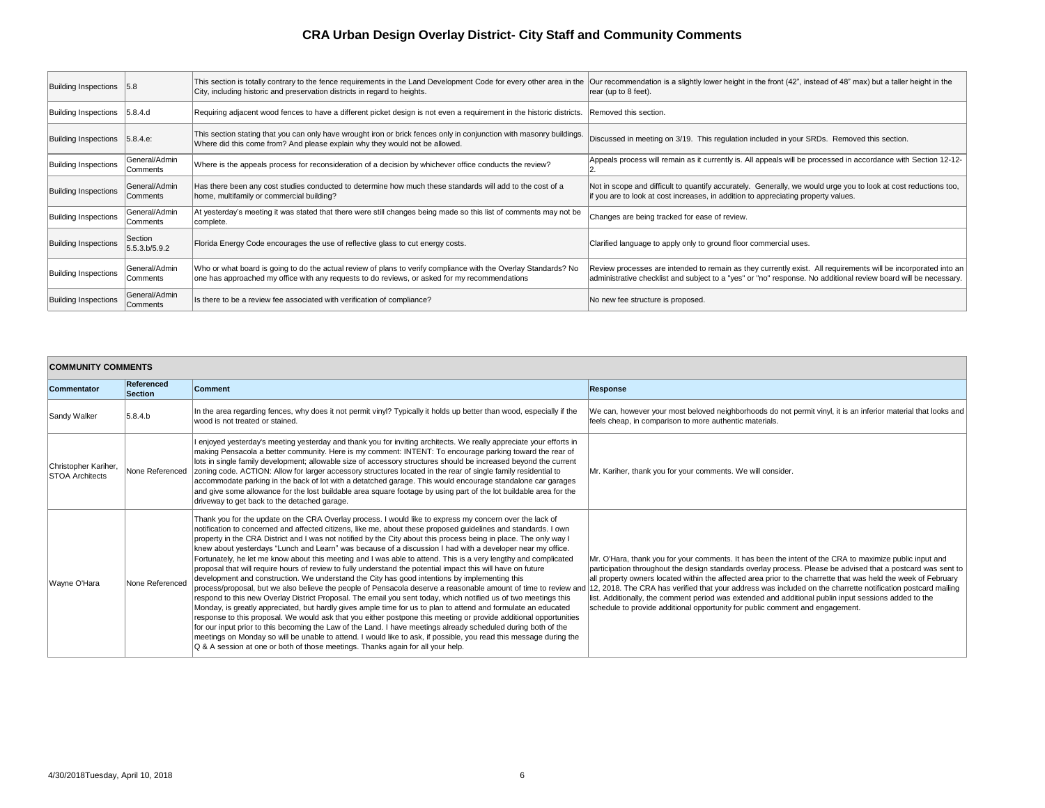| <b>Building Inspections</b> | 5.8                              | This section is totally contrary to the fence requirements in the Land Development Code for every other area in the<br>City, including historic and preservation districts in regard to heights.                 | Our recommendation is a slightly I<br>rear (up to 8 feet).                  |
|-----------------------------|----------------------------------|------------------------------------------------------------------------------------------------------------------------------------------------------------------------------------------------------------------|-----------------------------------------------------------------------------|
| <b>Building Inspections</b> | 5.8.4.d                          | Requiring adjacent wood fences to have a different picket design is not even a requirement in the historic districts.                                                                                            | Removed this section.                                                       |
| <b>Building Inspections</b> | 5.8.4.e:                         | This section stating that you can only have wrought iron or brick fences only in conjunction with masonry buildings.<br>Where did this come from? And please explain why they would not be allowed.              | Discussed in meeting on 3/19. Th                                            |
| <b>Building Inspections</b> | General/Admin<br>Comments        | Where is the appeals process for reconsideration of a decision by whichever office conducts the review?                                                                                                          | Appeals process will remain as it                                           |
| <b>Building Inspections</b> | General/Admin<br><b>Comments</b> | Has there been any cost studies conducted to determine how much these standards will add to the cost of a<br>home, multifamily or commercial building?                                                           | Not in scope and difficult to quant<br>if you are to look at cost increases |
| <b>Building Inspections</b> | General/Admin<br>Comments        | At yesterday's meeting it was stated that there were still changes being made so this list of comments may not be<br>complete.                                                                                   | Changes are being tracked for ea                                            |
| <b>Building Inspections</b> | Section<br>5.5.3 b/5.9.2         | Florida Energy Code encourages the use of reflective glass to cut energy costs.                                                                                                                                  | Clarified language to apply only to                                         |
| <b>Building Inspections</b> | General/Admin<br> Comments       | Who or what board is going to do the actual review of plans to verify compliance with the Overlay Standards? No<br>one has approached my office with any requests to do reviews, or asked for my recommendations | Review processes are intended to<br>administrative checklist and subje      |
| <b>Building Inspections</b> | General/Admin<br>Comments        | Is there to be a review fee associated with verification of compliance?                                                                                                                                          | No new fee structure is proposed.                                           |

| <b>COMMUNITY COMMENTS</b>                      |                              |                                                                                                                                                                                                                                                                                                                                                                                                                                                                                                                                                                                                                                                                                                                                                                                                                                                                                                                                                                                                                                                                                                                                                                                                                                                                                                                                                                                                                                                                                                                                                                                                           |                                                                                                 |  |  |
|------------------------------------------------|------------------------------|-----------------------------------------------------------------------------------------------------------------------------------------------------------------------------------------------------------------------------------------------------------------------------------------------------------------------------------------------------------------------------------------------------------------------------------------------------------------------------------------------------------------------------------------------------------------------------------------------------------------------------------------------------------------------------------------------------------------------------------------------------------------------------------------------------------------------------------------------------------------------------------------------------------------------------------------------------------------------------------------------------------------------------------------------------------------------------------------------------------------------------------------------------------------------------------------------------------------------------------------------------------------------------------------------------------------------------------------------------------------------------------------------------------------------------------------------------------------------------------------------------------------------------------------------------------------------------------------------------------|-------------------------------------------------------------------------------------------------|--|--|
| <b>Commentator</b>                             | Referenced<br><b>Section</b> | <b>Comment</b>                                                                                                                                                                                                                                                                                                                                                                                                                                                                                                                                                                                                                                                                                                                                                                                                                                                                                                                                                                                                                                                                                                                                                                                                                                                                                                                                                                                                                                                                                                                                                                                            | <b>Response</b>                                                                                 |  |  |
| Sandy Walker                                   | 5.8.4.b                      | In the area regarding fences, why does it not permit vinyl? Typically it holds up better than wood, especially if the<br>wood is not treated or stained.                                                                                                                                                                                                                                                                                                                                                                                                                                                                                                                                                                                                                                                                                                                                                                                                                                                                                                                                                                                                                                                                                                                                                                                                                                                                                                                                                                                                                                                  | We can, hov<br>feels cheap,                                                                     |  |  |
| Christopher Kariher,<br><b>STOA Architects</b> | None Referenced              | I enjoyed yesterday's meeting yesterday and thank you for inviting architects. We really appreciate your efforts in<br>making Pensacola a better community. Here is my comment: INTENT: To encourage parking toward the rear of<br>lots in single family development; allowable size of accessory structures should be increased beyond the current<br>zoning code. ACTION: Allow for larger accessory structures located in the rear of single family residential to<br>accommodate parking in the back of lot with a detatched garage. This would encourage standalone car garages<br>and give some allowance for the lost buildable area square footage by using part of the lot buildable area for the<br>driveway to get back to the detached garage.                                                                                                                                                                                                                                                                                                                                                                                                                                                                                                                                                                                                                                                                                                                                                                                                                                                | Mr. Kariher,                                                                                    |  |  |
| Wayne O'Hara                                   | None Referenced              | Thank you for the update on the CRA Overlay process. I would like to express my concern over the lack of<br>notification to concerned and affected citizens, like me, about these proposed guidelines and standards. I own<br>property in the CRA District and I was not notified by the City about this process being in place. The only way I<br>knew about yesterdays "Lunch and Learn" was because of a discussion I had with a developer near my office.<br>Fortunately, he let me know about this meeting and I was able to attend. This is a very lengthy and complicated<br>proposal that will require hours of review to fully understand the potential impact this will have on future<br>development and construction. We understand the City has good intentions by implementing this<br>process/proposal, but we also believe the people of Pensacola deserve a reasonable amount of time to review and<br>respond to this new Overlay District Proposal. The email you sent today, which notified us of two meetings this<br>Monday, is greatly appreciated, but hardly gives ample time for us to plan to attend and formulate an educated<br>response to this proposal. We would ask that you either postpone this meeting or provide additional opportunities<br>for our input prior to this becoming the Law of the Land. I have meetings already scheduled during both of the<br>meetings on Monday so will be unable to attend. I would like to ask, if possible, you read this message during the<br>Q & A session at one or both of those meetings. Thanks again for all your help. | Mr. O'Hara,<br>participation<br>all property o<br>12, 2018. Th<br>list. Addition<br>schedule to |  |  |

nendation is a slightly lower height in the front (42", instead of 48" max) but a taller height in the  $8$  feet).

in meeting on 3/19. This regulation included in your SRDs. Removed this section.

cess will remain as it currently is. All appeals will be processed in accordance with Section 12-12-

e and difficult to quantify accurately. Generally, we would urge you to look at cost reductions too, if look at cost increases, in addition to appreciating property values.

re being tracked for ease of review.

guage to apply only to ground floor commercial uses.

cesses are intended to remain as they currently exist. All requirements will be incorporated into an ive checklist and subject to a "yes" or "no" response. No additional review board will be necessary.

wever your most beloved neighborhoods do not permit vinyl, it is an inferior material that looks and , in comparison to more authentic materials.

, thank you for your comments. We will consider.

thank you for your comments. It has been the intent of the CRA to maximize public input and i throughout the design standards overlay process. Please be advised that a postcard was sent to owners located within the affected area prior to the charrette that was held the week of February he CRA has verified that your address was included on the charrette notification postcard mailing hally, the comment period was extended and additional publin input sessions added to the provide additional opportunity for public comment and engagement.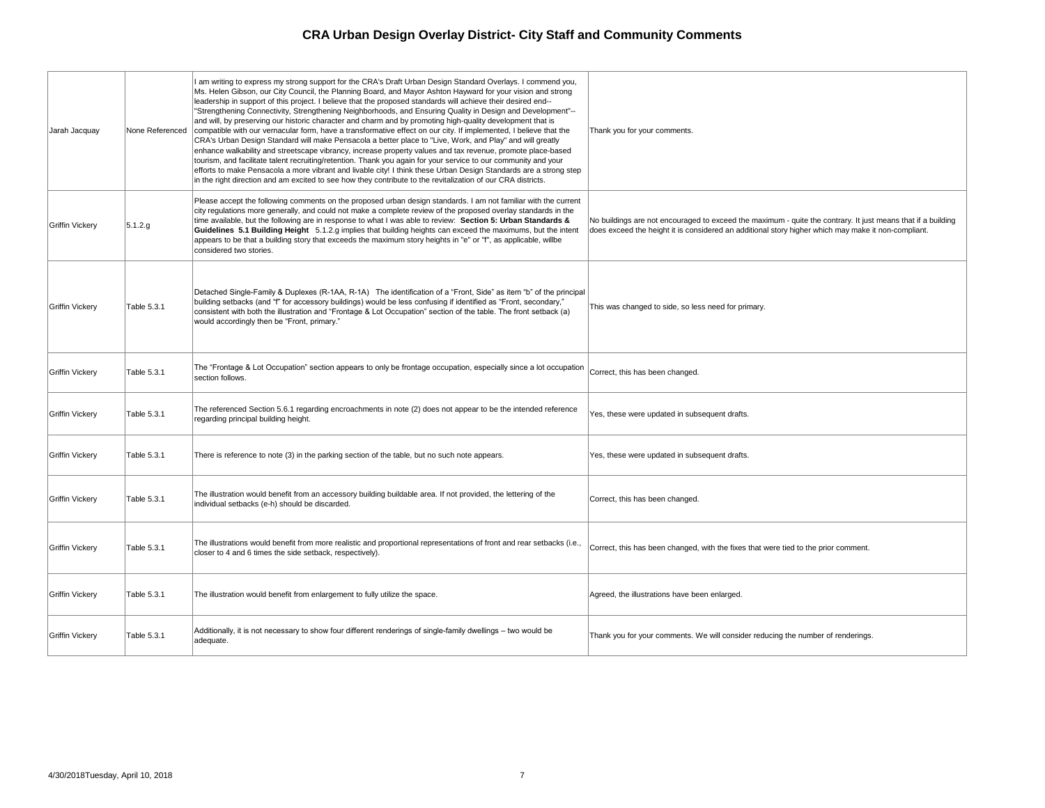| Jarah Jacquay          | None Referenced    | am writing to express my strong support for the CRA's Draft Urban Design Standard Overlays. I commend you,<br>Ms. Helen Gibson, our City Council, the Planning Board, and Mayor Ashton Hayward for your vision and strong<br>leadership in support of this project. I believe that the proposed standards will achieve their desired end--<br>"Strengthening Connectivity, Strengthening Neighborhoods, and Ensuring Quality in Design and Development"--<br>and will, by preserving our historic character and charm and by promoting high-quality development that is<br>compatible with our vernacular form, have a transformative effect on our city. If implemented, I believe that the<br>CRA's Urban Design Standard will make Pensacola a better place to "Live, Work, and Play" and will greatly<br>enhance walkability and streetscape vibrancy, increase property values and tax revenue, promote place-based<br>tourism, and facilitate talent recruiting/retention. Thank you again for your service to our community and your<br>efforts to make Pensacola a more vibrant and livable city! I think these Urban Design Standards are a strong step<br>in the right direction and am excited to see how they contribute to the revitalization of our CRA districts. | Thank you for your comments.                                        |
|------------------------|--------------------|----------------------------------------------------------------------------------------------------------------------------------------------------------------------------------------------------------------------------------------------------------------------------------------------------------------------------------------------------------------------------------------------------------------------------------------------------------------------------------------------------------------------------------------------------------------------------------------------------------------------------------------------------------------------------------------------------------------------------------------------------------------------------------------------------------------------------------------------------------------------------------------------------------------------------------------------------------------------------------------------------------------------------------------------------------------------------------------------------------------------------------------------------------------------------------------------------------------------------------------------------------------------------------|---------------------------------------------------------------------|
| Griffin Vickery        | 5.1.2.g            | Please accept the following comments on the proposed urban design standards. I am not familiar with the current<br>city regulations more generally, and could not make a complete review of the proposed overlay standards in the<br>time available, but the following are in response to what I was able to review: Section 5: Urban Standards &<br>Guidelines 5.1 Building Height 5.1.2.g implies that building heights can exceed the maximums, but the intent<br>appears to be that a building story that exceeds the maximum story heights in "e" or "f", as applicable, willbe<br>considered two stories.                                                                                                                                                                                                                                                                                                                                                                                                                                                                                                                                                                                                                                                                  | No buildings are not encouraged<br>does exceed the height it is con |
| <b>Griffin Vickery</b> | <b>Table 5.3.1</b> | Detached Single-Family & Duplexes (R-1AA, R-1A) The identification of a "Front, Side" as item "b" of the principal<br>building setbacks (and "f" for accessory buildings) would be less confusing if identified as "Front, secondary,"<br>consistent with both the illustration and "Frontage & Lot Occupation" section of the table. The front setback (a)<br>would accordingly then be "Front, primary."                                                                                                                                                                                                                                                                                                                                                                                                                                                                                                                                                                                                                                                                                                                                                                                                                                                                       | This was changed to side, so let                                    |
| <b>Griffin Vickery</b> | <b>Table 5.3.1</b> | The "Frontage & Lot Occupation" section appears to only be frontage occupation, especially since a lot occupation<br>section follows.                                                                                                                                                                                                                                                                                                                                                                                                                                                                                                                                                                                                                                                                                                                                                                                                                                                                                                                                                                                                                                                                                                                                            | Correct, this has been changed.                                     |
| Griffin Vickery        | Table 5.3.1        | The referenced Section 5.6.1 regarding encroachments in note (2) does not appear to be the intended reference<br>regarding principal building height.                                                                                                                                                                                                                                                                                                                                                                                                                                                                                                                                                                                                                                                                                                                                                                                                                                                                                                                                                                                                                                                                                                                            | Yes, these were updated in sub                                      |
| Griffin Vickery        | <b>Table 5.3.1</b> | There is reference to note (3) in the parking section of the table, but no such note appears.                                                                                                                                                                                                                                                                                                                                                                                                                                                                                                                                                                                                                                                                                                                                                                                                                                                                                                                                                                                                                                                                                                                                                                                    | Yes, these were updated in sub                                      |
| <b>Griffin Vickery</b> | Table 5.3.1        | The illustration would benefit from an accessory building buildable area. If not provided, the lettering of the<br>individual setbacks (e-h) should be discarded.                                                                                                                                                                                                                                                                                                                                                                                                                                                                                                                                                                                                                                                                                                                                                                                                                                                                                                                                                                                                                                                                                                                | Correct, this has been changed.                                     |
| <b>Griffin Vickery</b> | Table 5.3.1        | The illustrations would benefit from more realistic and proportional representations of front and rear setbacks (i.e.,<br>closer to 4 and 6 times the side setback, respectively).                                                                                                                                                                                                                                                                                                                                                                                                                                                                                                                                                                                                                                                                                                                                                                                                                                                                                                                                                                                                                                                                                               | Correct, this has been changed,                                     |
| <b>Griffin Vickery</b> | <b>Table 5.3.1</b> | The illustration would benefit from enlargement to fully utilize the space.                                                                                                                                                                                                                                                                                                                                                                                                                                                                                                                                                                                                                                                                                                                                                                                                                                                                                                                                                                                                                                                                                                                                                                                                      | Agreed, the illustrations have be                                   |
| <b>Griffin Vickery</b> | Table 5.3.1        | Additionally, it is not necessary to show four different renderings of single-family dwellings – two would be<br>adequate.                                                                                                                                                                                                                                                                                                                                                                                                                                                                                                                                                                                                                                                                                                                                                                                                                                                                                                                                                                                                                                                                                                                                                       | Thank you for your comments. V                                      |

gs are not encouraged to exceed the maximum - quite the contrary. It just means that if a building ed the height it is considered an additional story higher which may make it non-compliant.

hanged to side, so less need for primary.

were updated in subsequent drafts.

were updated in subsequent drafts.

is has been changed, with the fixes that were tied to the prior comment.

illustrations have been enlarged.

for your comments. We will consider reducing the number of renderings.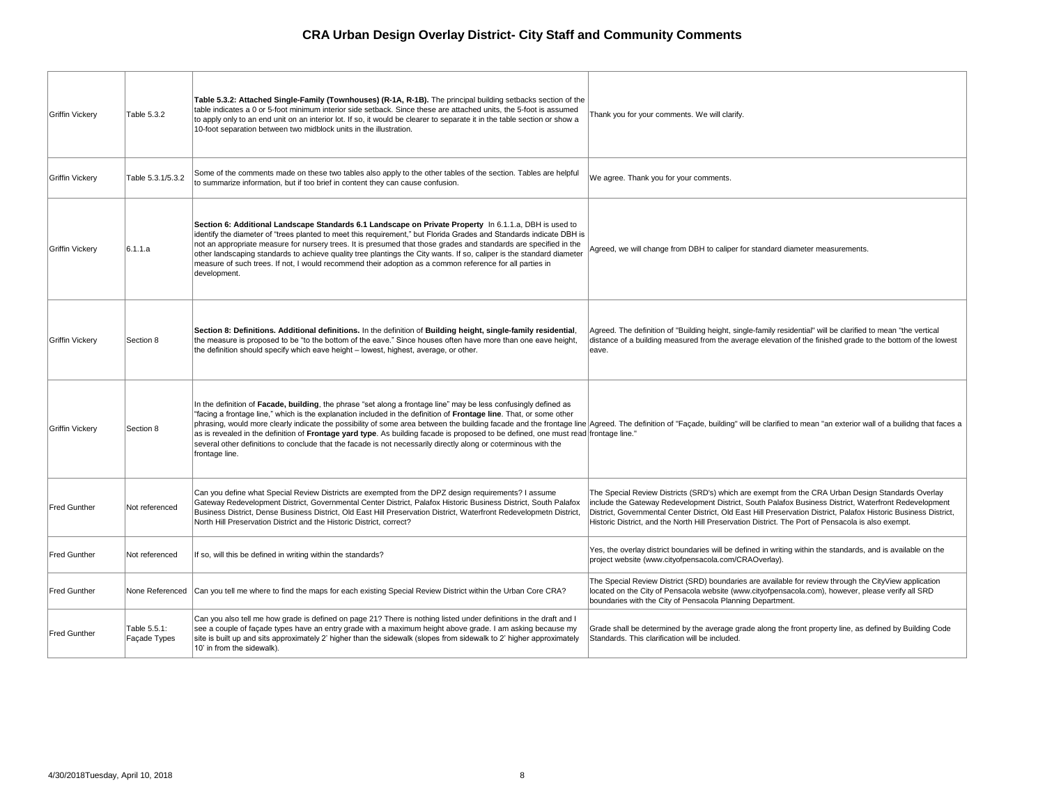| <b>Griffin Vickery</b> | Table 5.3.2                  | Table 5.3.2: Attached Single-Family (Townhouses) (R-1A, R-1B). The principal building setbacks section of the<br>table indicates a 0 or 5-foot minimum interior side setback. Since these are attached units, the 5-foot is assumed<br>to apply only to an end unit on an interior lot. If so, it would be clearer to separate it in the table section or show a<br>10-foot separation between two midblock units in the illustration.                                                                                                                                                                                                                | Thank you f                                                                |
|------------------------|------------------------------|-------------------------------------------------------------------------------------------------------------------------------------------------------------------------------------------------------------------------------------------------------------------------------------------------------------------------------------------------------------------------------------------------------------------------------------------------------------------------------------------------------------------------------------------------------------------------------------------------------------------------------------------------------|----------------------------------------------------------------------------|
| <b>Griffin Vickery</b> | Table 5.3.1/5.3.2            | Some of the comments made on these two tables also apply to the other tables of the section. Tables are helpful<br>to summarize information, but if too brief in content they can cause confusion.                                                                                                                                                                                                                                                                                                                                                                                                                                                    | We agree. 7                                                                |
| <b>Griffin Vickery</b> | 6.1.1.a                      | Section 6: Additional Landscape Standards 6.1 Landscape on Private Property In 6.1.1.a, DBH is used to<br>identify the diameter of "trees planted to meet this requirement," but Florida Grades and Standards indicate DBH is<br>not an appropriate measure for nursery trees. It is presumed that those grades and standards are specified in the<br>other landscaping standards to achieve quality tree plantings the City wants. If so, caliper is the standard diameter<br>measure of such trees. If not, I would recommend their adoption as a common reference for all parties in<br>development.                                               | Agreed, we                                                                 |
| <b>Griffin Vickery</b> | Section 8                    | Section 8: Definitions. Additional definitions. In the definition of Building height, single-family residential,<br>the measure is proposed to be "to the bottom of the eave." Since houses often have more than one eave height,<br>the definition should specify which eave height – lowest, highest, average, or other.                                                                                                                                                                                                                                                                                                                            | Agreed. The<br>distance of<br>eave.                                        |
| <b>Griffin Vickery</b> | Section 8                    | In the definition of Facade, building, the phrase "set along a frontage line" may be less confusingly defined as<br>"facing a frontage line," which is the explanation included in the definition of Frontage line. That, or some other<br>phrasing, would more clearly indicate the possibility of some area between the building facade and the frontage line Agreed. The<br>as is revealed in the definition of Frontage yard type. As building facade is proposed to be defined, one must read frontage line<br>several other definitions to conclude that the facade is not necessarily directly along or coterminous with the<br>frontage line. |                                                                            |
| <b>Fred Gunther</b>    | Not referenced               | Can you define what Special Review Districts are exempted from the DPZ design requirements? I assume<br>Gateway Redevelopment District, Governmental Center District, Palafox Historic Business District, South Palafox<br>Business District, Dense Business District, Old East Hill Preservation District, Waterfront Redevelopmetn District,<br>North Hill Preservation District and the Historic District, correct?                                                                                                                                                                                                                                | <b>The Special</b><br>include the<br>District, Gov<br><b>Historic Dist</b> |
| <b>Fred Gunther</b>    | Not referenced               | If so, will this be defined in writing within the standards?                                                                                                                                                                                                                                                                                                                                                                                                                                                                                                                                                                                          | Yes, the ove<br>project web:                                               |
| <b>Fred Gunther</b>    | None Referenced              | Can you tell me where to find the maps for each existing Special Review District within the Urban Core CRA?                                                                                                                                                                                                                                                                                                                                                                                                                                                                                                                                           | <b>The Special</b><br>located on t<br>boundaries                           |
| Fred Gunther           | Table 5.5.1:<br>Façade Types | Can you also tell me how grade is defined on page 21? There is nothing listed under definitions in the draft and I<br>see a couple of façade types have an entry grade with a maximum height above grade. I am asking because my<br>site is built up and sits approximately 2' higher than the sidewalk (slopes from sidewalk to 2' higher approximately<br>10' in from the sidewalk).                                                                                                                                                                                                                                                                | Grade shall<br>Standards.                                                  |

for your comments. We will clarify.

Thank you for your comments.

will change from DBH to caliper for standard diameter measurements.

e definition of "Building height, single-family residential" will be clarified to mean "the vertical  $\epsilon$  a building measured from the average elevation of the finished grade to the bottom of the lowest

ie definition of "Façade, building" will be clarified to mean "an exterior wall of a builidng that faces a e."

I Review Districts (SRD's) which are exempt from the CRA Urban Design Standards Overlay Gateway Redevelopment District, South Palafox Business District, Waterfront Redevelopment vernmental Center District, Old East Hill Preservation District, Palafox Historic Business District, trict, and the North Hill Preservation District. The Port of Pensacola is also exempt.

erlay district boundaries will be defined in writing within the standards, and is available on the site (www.cityofpensacola.com/CRAOverlay).

I Review District (SRD) boundaries are available for review through the CityView application the City of Pensacola website (www.cityofpensacola.com), however, please verify all SRD with the City of Pensacola Planning Department.

I be determined by the average grade along the front property line, as defined by Building Code This clarification will be included.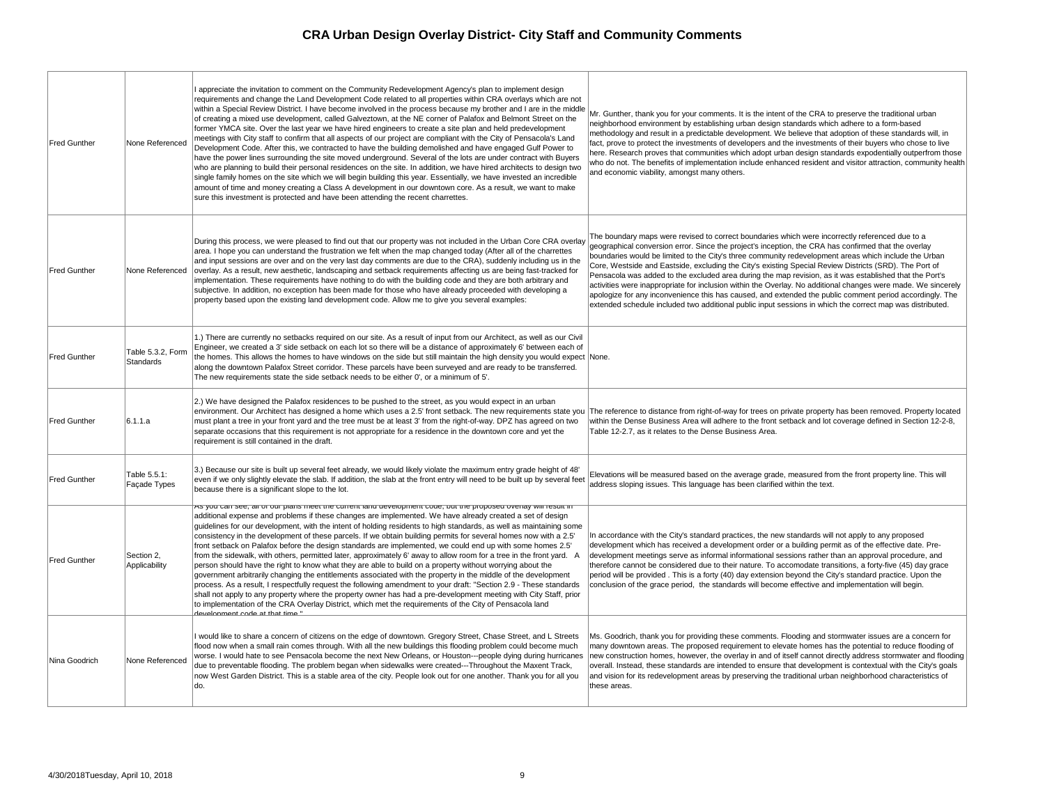| <b>Fred Gunther</b> | None Referenced                       | I appreciate the invitation to comment on the Community Redevelopment Agency's plan to implement design<br>requirements and change the Land Development Code related to all properties within CRA overlays which are not<br>within a Special Review District. I have become involved in the process because my brother and I are in the middle<br>of creating a mixed use development, called Galveztown, at the NE corner of Palafox and Belmont Street on the<br>former YMCA site. Over the last year we have hired engineers to create a site plan and held predevelopment<br>meetings with City staff to confirm that all aspects of our project are compliant with the City of Pensacola's Land<br>Development Code. After this, we contracted to have the building demolished and have engaged Gulf Power to<br>have the power lines surrounding the site moved underground. Several of the lots are under contract with Buyers<br>who are planning to build their personal residences on the site. In addition, we have hired architects to design two<br>single family homes on the site which we will begin building this year. Essentially, we have invested an incredible<br>amount of time and money creating a Class A development in our downtown core. As a result, we want to make<br>sure this investment is protected and have been attending the recent charrettes. | Mr. Gunther<br>neighborhoo<br>methodology<br>fact, prove to<br>here. Resea<br>who do not.<br>and econom                |
|---------------------|---------------------------------------|----------------------------------------------------------------------------------------------------------------------------------------------------------------------------------------------------------------------------------------------------------------------------------------------------------------------------------------------------------------------------------------------------------------------------------------------------------------------------------------------------------------------------------------------------------------------------------------------------------------------------------------------------------------------------------------------------------------------------------------------------------------------------------------------------------------------------------------------------------------------------------------------------------------------------------------------------------------------------------------------------------------------------------------------------------------------------------------------------------------------------------------------------------------------------------------------------------------------------------------------------------------------------------------------------------------------------------------------------------------------------------------|------------------------------------------------------------------------------------------------------------------------|
| <b>Fred Gunther</b> | None Referenced                       | During this process, we were pleased to find out that our property was not included in the Urban Core CRA overlay<br>area. I hope you can understand the frustration we felt when the map changed today (After all of the charrettes<br>and input sessions are over and on the very last day comments are due to the CRA), suddenly including us in the<br>overlay. As a result, new aesthetic, landscaping and setback requirements affecting us are being fast-tracked for<br>implementation. These requirements have nothing to do with the building code and they are both arbitrary and<br>subjective. In addition, no exception has been made for those who have already proceeded with developing a<br>property based upon the existing land development code. Allow me to give you several examples:                                                                                                                                                                                                                                                                                                                                                                                                                                                                                                                                                                           | The boundal<br>geographica<br>boundaries<br>Core, Wests<br>Pensacola w<br>activities we<br>apologize fo<br>extended sc |
| <b>Fred Gunther</b> | Table 5.3.2, Form<br><b>Standards</b> | 1.) There are currently no setbacks required on our site. As a result of input from our Architect, as well as our Civil<br>Engineer, we created a 3' side setback on each lot so there will be a distance of approximately 6' between each of<br>the homes. This allows the homes to have windows on the side but still maintain the high density you would expect None.<br>along the downtown Palafox Street corridor. These parcels have been surveyed and are ready to be transferred.<br>The new requirements state the side setback needs to be either 0', or a minimum of 5'.                                                                                                                                                                                                                                                                                                                                                                                                                                                                                                                                                                                                                                                                                                                                                                                                    |                                                                                                                        |
| <b>Fred Gunther</b> | ∣6.1.1.a                              | 2.) We have designed the Palafox residences to be pushed to the street, as you would expect in an urban<br>environment. Our Architect has designed a home which uses a 2.5' front setback. The new requirements state you<br>must plant a tree in your front yard and the tree must be at least 3' from the right-of-way. DPZ has agreed on two<br>separate occasions that this requirement is not appropriate for a residence in the downtown core and yet the<br>requirement is still contained in the draft.                                                                                                                                                                                                                                                                                                                                                                                                                                                                                                                                                                                                                                                                                                                                                                                                                                                                        | The referend<br>within the De<br>Table 12-2.7                                                                          |
| <b>Fred Gunther</b> | Table 5.5.1:<br>Façade Types          | 3.) Because our site is built up several feet already, we would likely violate the maximum entry grade height of 48'<br>even if we only slightly elevate the slab. If addition, the slab at the front entry will need to be built up by several feet<br>because there is a significant slope to the lot.                                                                                                                                                                                                                                                                                                                                                                                                                                                                                                                                                                                                                                                                                                                                                                                                                                                                                                                                                                                                                                                                               | Elevations w<br>address slop                                                                                           |
| <b>Fred Gunther</b> | Section 2,<br>Applicability           | As you can see, all of our plans meet the current land development code, but the proposed overlay will result in<br>additional expense and problems if these changes are implemented. We have already created a set of design<br>guidelines for our development, with the intent of holding residents to high standards, as well as maintaining some<br>consistency in the development of these parcels. If we obtain building permits for several homes now with a 2.5'<br>front setback on Palafox before the design standards are implemented, we could end up with some homes 2.5'<br>from the sidewalk, with others, permitted later, approximately 6' away to allow room for a tree in the front yard. A<br>person should have the right to know what they are able to build on a property without worrying about the<br>government arbitrarily changing the entitlements associated with the property in the middle of the development<br>process. As a result, I respectfully request the following amendment to your draft: "Section 2.9 - These standards<br>shall not apply to any property where the property owner has had a pre-development meeting with City Staff, prior<br>to implementation of the CRA Overlay District, which met the requirements of the City of Pensacola land<br><u>" Anyclopmont codo at that time</u>                                          | In accordan<br>developmen<br>developmen<br>therefore car<br>period will be<br>conclusion o                             |
| Nina Goodrich       | None Referenced                       | I would like to share a concern of citizens on the edge of downtown. Gregory Street, Chase Street, and L Streets<br>flood now when a small rain comes through. With all the new buildings this flooding problem could become much<br>worse. I would hate to see Pensacola become the next New Orleans, or Houston---people dying during hurricanes<br>due to preventable flooding. The problem began when sidewalks were created---Throughout the Maxent Track,<br>now West Garden District. This is a stable area of the city. People look out for one another. Thank you for all you<br>ldo.                                                                                                                                                                                                                                                                                                                                                                                                                                                                                                                                                                                                                                                                                                                                                                                         | Ms. Goodric<br>many downt<br>new constru<br>overall. Inste<br>$ $ and vision fc<br>these areas.                        |

r, thank you for your comments. It is the intent of the CRA to preserve the traditional urban od environment by establishing urban design standards which adhere to a form-based y and result in a predictable development. We believe that adoption of these standards will, in to protect the investments of developers and the investments of their buyers who chose to live arch proves that communities which adopt urban design standards expodentially outperfrom those The benefits of implementation include enhanced resident and visitor attraction, community health nic viability, amongst many others.

ary maps were revised to correct boundaries which were incorrectly referenced due to a al conversion error. Since the project's inception, the CRA has confirmed that the overlay would be limited to the City's three community redevelopment areas which include the Urban side and Eastside, excluding the City's existing Special Review Districts (SRD). The Port of was added to the excluded area during the map revision, as it was established that the Port's ere inappropriate for inclusion within the Overlay. No additional changes were made. We sincerely or any inconvenience this has caused, and extended the public comment period accordingly. The chedule included two additional public input sessions in which the correct map was distributed.

ce to distance from right-of-way for trees on private property has been removed. Property located ense Business Area will adhere to the front setback and lot coverage defined in Section 12-2-8, 7, as it relates to the Dense Business Area.

will be measured based on the average grade, measured from the front property line. This will ping issues. This language has been clarified within the text.

ice with the City's standard practices, the new standards will not apply to any proposed nt which has received a development order or a building permit as of the effective date. Prent meetings serve as informal informational sessions rather than an approval procedure, and annot be considered due to their nature. To accomodate transitions, a forty-five (45) day grace e provided . This is a forty (40) day extension beyond the City's standard practice. Upon the of the grace period, the standards will become effective and implementation will begin.

ch, thank you for providing these comments. Flooding and stormwater issues are a concern for town areas. The proposed requirement to elevate homes has the potential to reduce flooding of iction homes, however, the overlay in and of itself cannot directly address stormwater and flooding ead, these standards are intended to ensure that development is contextual with the City's goals or its redevelopment areas by preserving the traditional urban neighborhood characteristics of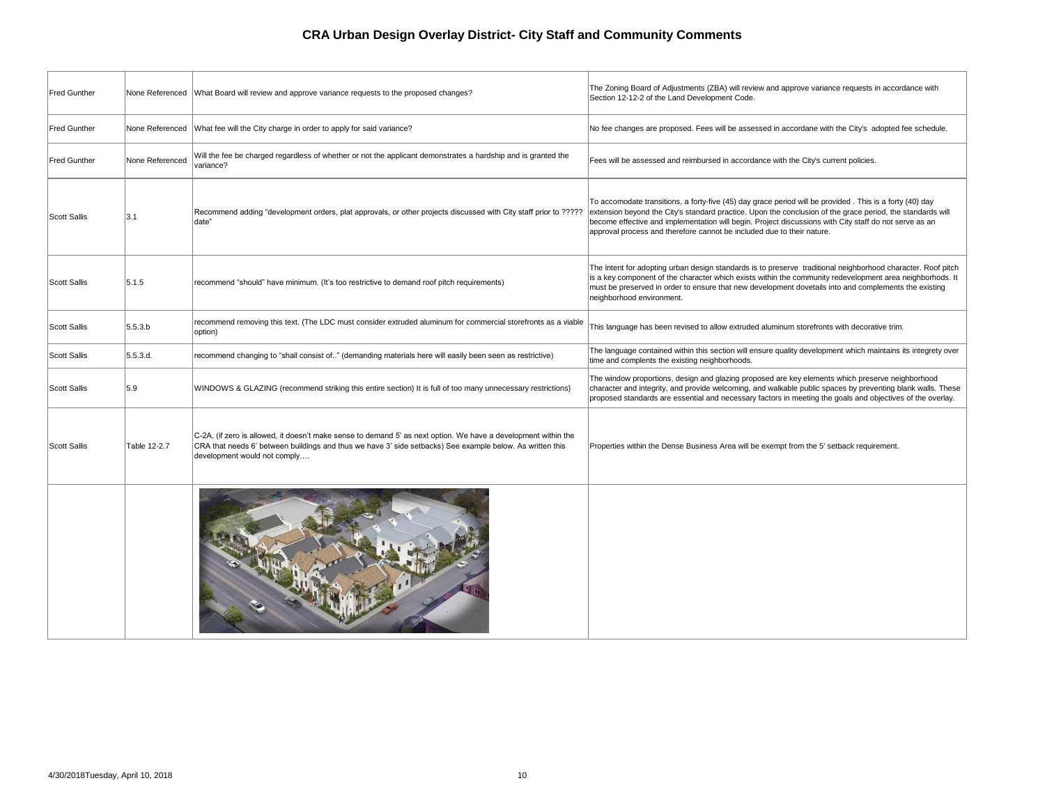| <b>Fred Gunther</b> | None Referenced | What Board will review and approve variance requests to the proposed changes?                                                                                                                                                                               | The Zoning<br>Section 12-                                  |
|---------------------|-----------------|-------------------------------------------------------------------------------------------------------------------------------------------------------------------------------------------------------------------------------------------------------------|------------------------------------------------------------|
| <b>Fred Gunther</b> | None Referenced | What fee will the City charge in order to apply for said variance?                                                                                                                                                                                          | No fee char                                                |
| <b>Fred Gunther</b> | None Referenced | Will the fee be charged regardless of whether or not the applicant demonstrates a hardship and is granted the<br>variance?                                                                                                                                  | Fees will be                                               |
| Scott Sallis        | 3.1             | Recommend adding "development orders, plat approvals, or other projects discussed with City staff prior to ?????<br>date"                                                                                                                                   | To accomo<br>extension b<br>become effe<br>approval pro    |
| Scott Sallis        | 5.1.5           | recommend "should" have minimum. (It's too restrictive to demand roof pitch requirements)                                                                                                                                                                   | The intent fo<br>is a key con<br>must be pre<br>neighborho |
| Scott Sallis        | 5.5.3 b         | recommend removing this text. (The LDC must consider extruded aluminum for commercial storefronts as a viable<br>option)                                                                                                                                    | This langua                                                |
| Scott Sallis        | 5.5.3.d.        | recommend changing to "shall consist of" (demanding materials here will easily been seen as restrictive)                                                                                                                                                    | The langua<br>time and co                                  |
| <b>Scott Sallis</b> | 5.9             | WINDOWS & GLAZING (recommend striking this entire section) It is full of too many unnecessary restrictions)                                                                                                                                                 | The window<br>∣character ai<br>proposed st                 |
| Scott Sallis        | Table 12-2.7    | C-2A, (if zero is allowed, it doesn't make sense to demand 5' as next option. We have a development within the<br>CRA that needs 6' between buildings and thus we have 3' side setbacks) See example below. As written this<br>development would not comply | <b>Properties</b> v                                        |
|                     |                 |                                                                                                                                                                                                                                                             |                                                            |

Board of Adjustments (ZBA) will review and approve variance requests in accordance with -12-2 of the Land Development Code.

nges are proposed. Fees will be assessed in accordane with the City's adopted fee schedule.

assessed and reimbursed in accordance with the City's current policies.

date transitions, a forty-five (45) day grace period will be provided . This is a forty (40) day beyond the City's standard practice. Upon the conclusion of the grace period, the standards will ective and implementation will begin. Project discussions with City staff do not serve as an ocess and therefore cannot be included due to their nature.

for adopting urban design standards is to preserve traditional neighborhood character. Roof pitch nponent of the character which exists within the community redevelopment area neighborhods. It eserved in order to ensure that new development dovetails into and complements the existing od environment.

age has been revised to allow extruded aluminum storefronts with decorative trim.

ge contained within this section will ensure quality development which maintains its integrety over omplents the existing neighborhoods.

I proportions, design and glazing proposed are key elements which preserve neighborhood nd integrity, and provide welcoming, and walkable public spaces by preventing blank walls. These tandards are essential and necessary factors in meeting the goals and objectives of the overlay.

within the Dense Business Area will be exempt from the 5' setback requirement.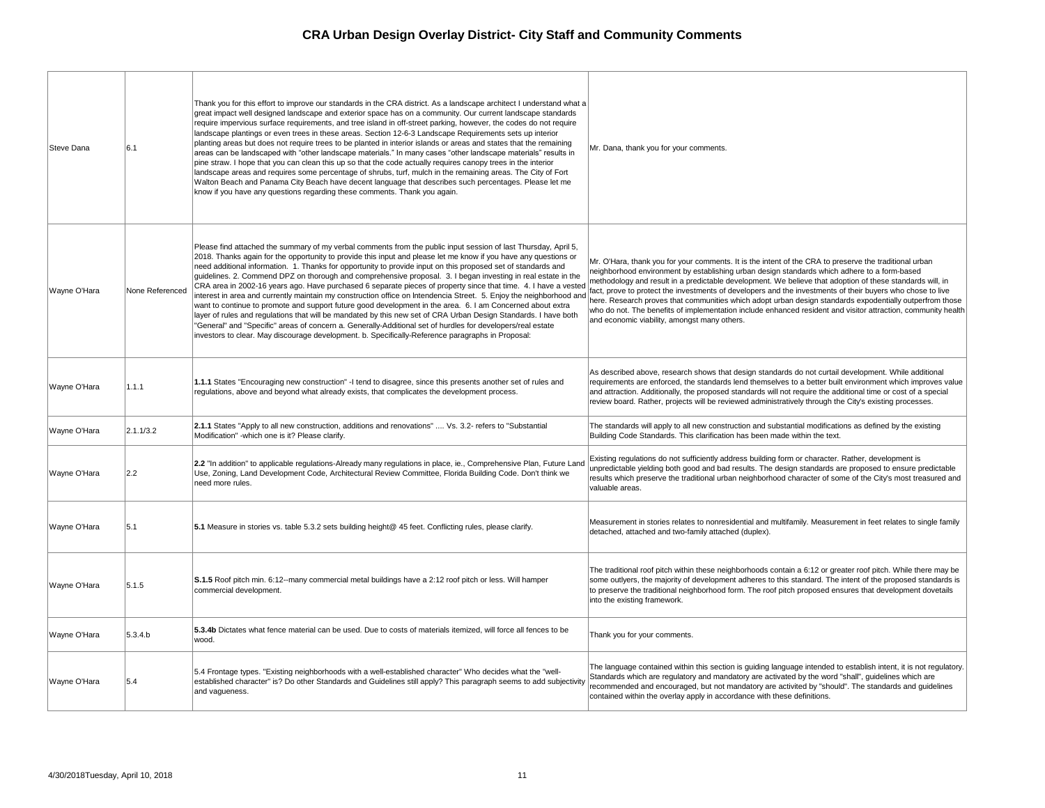| Steve Dana   | 6.1             | Thank you for this effort to improve our standards in the CRA district. As a landscape architect I understand what a<br>great impact well designed landscape and exterior space has on a community. Our current landscape standards<br>require impervious surface requirements, and tree island in off-street parking, however, the codes do not require<br>landscape plantings or even trees in these areas. Section 12-6-3 Landscape Requirements sets up interior<br>planting areas but does not require trees to be planted in interior islands or areas and states that the remaining<br>areas can be landscaped with "other landscape materials." In many cases "other landscape materials" results in<br>pine straw. I hope that you can clean this up so that the code actually requires canopy trees in the interior<br>landscape areas and requires some percentage of shrubs, turf, mulch in the remaining areas. The City of Fort<br>Walton Beach and Panama City Beach have decent language that describes such percentages. Please let me<br>know if you have any questions regarding these comments. Thank you again.                                 | Mr. Dana, thank you for your o                                                                                                                                                                                                          |
|--------------|-----------------|----------------------------------------------------------------------------------------------------------------------------------------------------------------------------------------------------------------------------------------------------------------------------------------------------------------------------------------------------------------------------------------------------------------------------------------------------------------------------------------------------------------------------------------------------------------------------------------------------------------------------------------------------------------------------------------------------------------------------------------------------------------------------------------------------------------------------------------------------------------------------------------------------------------------------------------------------------------------------------------------------------------------------------------------------------------------------------------------------------------------------------------------------------------------|-----------------------------------------------------------------------------------------------------------------------------------------------------------------------------------------------------------------------------------------|
| Wayne O'Hara | None Referenced | Please find attached the summary of my verbal comments from the public input session of last Thursday, April 5,<br>2018. Thanks again for the opportunity to provide this input and please let me know if you have any questions or<br>need additional information. 1. Thanks for opportunity to provide input on this proposed set of standards and<br>guidelines. 2. Commend DPZ on thorough and comprehensive proposal. 3. I began investing in real estate in the<br>CRA area in 2002-16 years ago. Have purchased 6 separate pieces of property since that time. 4. I have a vested<br>interest in area and currently maintain my construction office on Intendencia Street. 5. Enjoy the neighborhood and<br>want to continue to promote and support future good development in the area. 6. I am Concerned about extra<br>layer of rules and regulations that will be mandated by this new set of CRA Urban Design Standards. I have both<br>"General" and "Specific" areas of concern a. Generally-Additional set of hurdles for developers/real estate<br>investors to clear. May discourage development. b. Specifically-Reference paragraphs in Proposal: | Mr. O'Hara, thank you for your<br>neighborhood environment by<br>methodology and result in a pr<br>fact, prove to protect the inves<br>here. Research proves that co<br>who do not. The benefits of im<br>and economic viability, among |
| Wayne O'Hara | 1.1.1           | 1.1.1 States "Encouraging new construction" -I tend to disagree, since this presents another set of rules and<br>regulations, above and beyond what already exists, that complicates the development process.                                                                                                                                                                                                                                                                                                                                                                                                                                                                                                                                                                                                                                                                                                                                                                                                                                                                                                                                                        | As described above, research<br>requirements are enforced, the<br>and attraction. Additionally, the<br>review board. Rather, projects                                                                                                   |
| Wayne O'Hara | 2.1.1/3.2       | 2.1.1 States "Apply to all new construction, additions and renovations"  Vs. 3.2- refers to "Substantial<br>Modification" - which one is it? Please clarify.                                                                                                                                                                                                                                                                                                                                                                                                                                                                                                                                                                                                                                                                                                                                                                                                                                                                                                                                                                                                         | The standards will apply to all<br><b>Building Code Standards. This</b>                                                                                                                                                                 |
| Wayne O'Hara | 2.2             | 2.2 "In addition" to applicable regulations-Already many regulations in place, ie., Comprehensive Plan, Future Land<br>Use, Zoning, Land Development Code, Architectural Review Committee, Florida Building Code. Don't think we<br>need more rules.                                                                                                                                                                                                                                                                                                                                                                                                                                                                                                                                                                                                                                                                                                                                                                                                                                                                                                                 | Existing regulations do not suf<br>unpredictable yielding both goo<br>results which preserve the trad<br>valuable areas.                                                                                                                |
| Wayne O'Hara | 5.1             | 5.1 Measure in stories vs. table 5.3.2 sets building height@ 45 feet. Conflicting rules, please clarify.                                                                                                                                                                                                                                                                                                                                                                                                                                                                                                                                                                                                                                                                                                                                                                                                                                                                                                                                                                                                                                                             | Measurement in stories relates<br>detached, attached and two-fa                                                                                                                                                                         |
| Wayne O'Hara | 5.1.5           | S.1.5 Roof pitch min. 6:12--many commercial metal buildings have a 2:12 roof pitch or less. Will hamper<br>commercial development.                                                                                                                                                                                                                                                                                                                                                                                                                                                                                                                                                                                                                                                                                                                                                                                                                                                                                                                                                                                                                                   | The traditional roof pitch withir<br>some outlyers, the majority of<br>to preserve the traditional neig<br>into the existing framework.                                                                                                 |
| Wayne O'Hara | 5.3.4.b         | 5.3.4b Dictates what fence material can be used. Due to costs of materials itemized, will force all fences to be<br>wood.                                                                                                                                                                                                                                                                                                                                                                                                                                                                                                                                                                                                                                                                                                                                                                                                                                                                                                                                                                                                                                            | Thank you for your comments.                                                                                                                                                                                                            |
| Wayne O'Hara | 5.4             | 5.4 Frontage types. "Existing neighborhoods with a well-established character" Who decides what the "well-<br>established character" is? Do other Standards and Guidelines still apply? This paragraph seems to add subjectivity<br>and vagueness.                                                                                                                                                                                                                                                                                                                                                                                                                                                                                                                                                                                                                                                                                                                                                                                                                                                                                                                   | The language contained withir<br>Standards which are regulator<br>recommended and encourage<br>contained within the overlav ar                                                                                                          |
|              |                 |                                                                                                                                                                                                                                                                                                                                                                                                                                                                                                                                                                                                                                                                                                                                                                                                                                                                                                                                                                                                                                                                                                                                                                      |                                                                                                                                                                                                                                         |

hank you for your comments.

thank you for your comments. It is the intent of the CRA to preserve the traditional urban od environment by establishing urban design standards which adhere to a form-based ly and result in a predictable development. We believe that adoption of these standards will, in to protect the investments of developers and the investments of their buyers who chose to live arch proves that communities which adopt urban design standards expodentially outperfrom those The benefits of implementation include enhanced resident and visitor attraction, community health nic viability, amongst many others.

ed above, research shows that design standards do not curtail development. While additional ts are enforced, the standards lend themselves to a better built environment which improves value on. Additionally, the proposed standards will not require the additional time or cost of a special rd. Rather, projects will be reviewed administratively through the City's existing processes.

rds will apply to all new construction and substantial modifications as defined by the existing de Standards. This clarification has been made within the text.

ulations do not sufficiently address building form or character. Rather, development is le yielding both good and bad results. The design standards are proposed to ensure predictable th preserve the traditional urban neighborhood character of some of the City's most treasured and eas.

ent in stories relates to nonresidential and multifamily. Measurement in feet relates to single family attached and two-family attached (duplex).

nal roof pitch within these neighborhoods contain a 6:12 or greater roof pitch. While there may be ers, the majority of development adheres to this standard. The intent of the proposed standards is the traditional neighborhood form. The roof pitch proposed ensures that development dovetails sting framework.

ge contained within this section is guiding language intended to establish intent, it is not regulatory. which are regulatory and mandatory are activated by the word "shall", guidelines which are led and encouraged, but not mandatory are activited by "should". The standards and guidelines vithin the overlay apply in accordance with these definitions.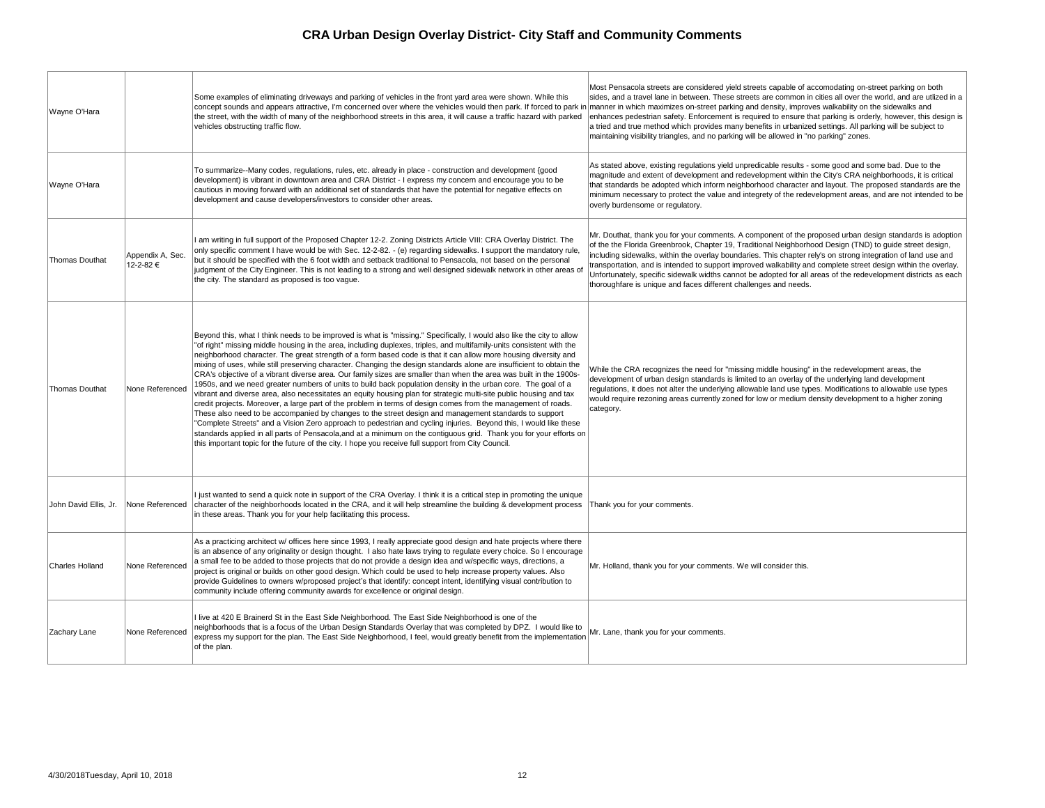|  | Wayne O'Hara           |                              | Some examples of eliminating driveways and parking of vehicles in the front yard area were shown. While this<br>concept sounds and appears attractive, I'm concerned over where the vehicles would then park. If forced to park in manner in w<br>the street, with the width of many of the neighborhood streets in this area, it will cause a traffic hazard with parked<br>vehicles obstructing traffic flow.                                                                                                                                                                                                                                                                                                                                                                                                                                                                                                                                                                                                                                                                                                                                                                                                                                                                                                                                                                                                                      | Most Pensa<br>sides, and a<br>enhances p<br>a tried and t<br>maintaining                     |
|--|------------------------|------------------------------|--------------------------------------------------------------------------------------------------------------------------------------------------------------------------------------------------------------------------------------------------------------------------------------------------------------------------------------------------------------------------------------------------------------------------------------------------------------------------------------------------------------------------------------------------------------------------------------------------------------------------------------------------------------------------------------------------------------------------------------------------------------------------------------------------------------------------------------------------------------------------------------------------------------------------------------------------------------------------------------------------------------------------------------------------------------------------------------------------------------------------------------------------------------------------------------------------------------------------------------------------------------------------------------------------------------------------------------------------------------------------------------------------------------------------------------|----------------------------------------------------------------------------------------------|
|  | Wayne O'Hara           |                              | To summarize--Many codes, regulations, rules, etc. already in place - construction and development {good<br>development) is vibrant in downtown area and CRA District - I express my concern and encourage you to be<br>cautious in moving forward with an additional set of standards that have the potential for negative effects on<br>development and cause developers/investors to consider other areas.                                                                                                                                                                                                                                                                                                                                                                                                                                                                                                                                                                                                                                                                                                                                                                                                                                                                                                                                                                                                                        | As stated al<br>magnitude a<br>that standar<br>minimum ne<br>overly burde                    |
|  | <b>Thomas Douthat</b>  | Appendix A, Sec.<br>12-2-82€ | I am writing in full support of the Proposed Chapter 12-2. Zoning Districts Article VIII: CRA Overlay District. The<br>only specific comment I have would be with Sec. 12-2-82. - (e) regarding sidewalks. I support the mandatory rule,<br>but it should be specified with the 6 foot width and setback traditional to Pensacola, not based on the personal<br>judgment of the City Engineer. This is not leading to a strong and well designed sidewalk network in other areas of<br>the city. The standard as proposed is too vague.                                                                                                                                                                                                                                                                                                                                                                                                                                                                                                                                                                                                                                                                                                                                                                                                                                                                                              | Mr. Douthat<br>of the the Fl<br>including sid<br>transportatio<br>Unfortunate<br>thoroughfar |
|  | <b>Thomas Douthat</b>  | None Referenced              | Beyond this, what I think needs to be improved is what is "missing." Specifically, I would also like the city to allow<br>"of right" missing middle housing in the area, including duplexes, triples, and multifamily-units consistent with the<br>neighborhood character. The great strength of a form based code is that it can allow more housing diversity and<br>mixing of uses, while still preserving character. Changing the design standards alone are insufficient to obtain the<br>CRA's objective of a vibrant diverse area. Our family sizes are smaller than when the area was built in the 1900s-<br>1950s, and we need greater numbers of units to build back population density in the urban core. The goal of a<br>vibrant and diverse area, also necessitates an equity housing plan for strategic multi-site public housing and tax<br>credit projects. Moreover, a large part of the problem in terms of design comes from the management of roads.<br>These also need to be accompanied by changes to the street design and management standards to support<br>"Complete Streets" and a Vision Zero approach to pedestrian and cycling injuries. Beyond this, I would like these<br>standards applied in all parts of Pensacola, and at a minimum on the contiguous grid. Thank you for your efforts on<br>this important topic for the future of the city. I hope you receive full support from City Council. | While the C<br>developmer<br>regulations,<br>would requir<br>category.                       |
|  | John David Ellis, Jr.  | None Referenced              | I just wanted to send a quick note in support of the CRA Overlay. I think it is a critical step in promoting the unique<br>character of the neighborhoods located in the CRA, and it will help streamline the building & development process<br>in these areas. Thank you for your help facilitating this process.                                                                                                                                                                                                                                                                                                                                                                                                                                                                                                                                                                                                                                                                                                                                                                                                                                                                                                                                                                                                                                                                                                                   | Thank you f                                                                                  |
|  | <b>Charles Holland</b> | None Referenced              | As a practicing architect w/ offices here since 1993, I really appreciate good design and hate projects where there<br>is an absence of any originality or design thought. I also hate laws trying to regulate every choice. So I encourage<br>a small fee to be added to those projects that do not provide a design idea and w/specific ways, directions, a<br>project is original or builds on other good design. Which could be used to help increase property values. Also<br>provide Guidelines to owners w/proposed project's that identify: concept intent, identifying visual contribution to<br>community include offering community awards for excellence or original design.                                                                                                                                                                                                                                                                                                                                                                                                                                                                                                                                                                                                                                                                                                                                             | Mr. Holland,                                                                                 |
|  | Zachary Lane           | None Referenced              | I live at 420 E Brainerd St in the East Side Neighborhood. The East Side Neighborhood is one of the<br>neighborhoods that is a focus of the Urban Design Standards Overlay that was completed by DPZ. I would like to<br>express my support for the plan. The East Side Neighborhood, I feel, would greatly benefit from the implementation<br>of the plan.                                                                                                                                                                                                                                                                                                                                                                                                                                                                                                                                                                                                                                                                                                                                                                                                                                                                                                                                                                                                                                                                          | Mr. Lane, th                                                                                 |

acola streets are considered yield streets capable of accomodating on-street parking on both a travel lane in between. These streets are common in cities all over the world, and are utlized in a vhich maximizes on-street parking and density, improves walkability on the sidewalks and edestrian safety. Enforcement is required to ensure that parking is orderly, however, this design is true method which provides many benefits in urbanized settings. All parking will be subject to visibility triangles, and no parking will be allowed in "no parking" zones.

bove, existing regulations yield unpredicable results - some good and some bad. Due to the and extent of development and redevelopment within the City's CRA neighborhoods, it is critical rds be adopted which inform neighborhood character and layout. The proposed standards are the ecessary to protect the value and integrety of the redevelopment areas, and are not intended to be ensome or regulatory.

t, thank you for your comments. A component of the proposed urban design standards is adoption lorida Greenbrook, Chapter 19, Traditional Neighborhood Design (TND) to guide street design, dewalks, within the overlay boundaries. This chapter rely's on strong integration of land use and on, and is intended to support improved walkability and complete street design within the overlay. ely, specific sidewalk widths cannot be adopted for all areas of the redevelopment districts as each re is unique and faces different challenges and needs.

RA recognizes the need for "missing middle housing" in the redevelopment areas, the ht of urban design standards is limited to an overlay of the underlying land development it does not alter the underlying allowable land use types. Modifications to allowable use types re rezoning areas currently zoned for low or medium density development to a higher zoning

for your comments.

thank you for your comments. We will consider this.

hank you for your comments.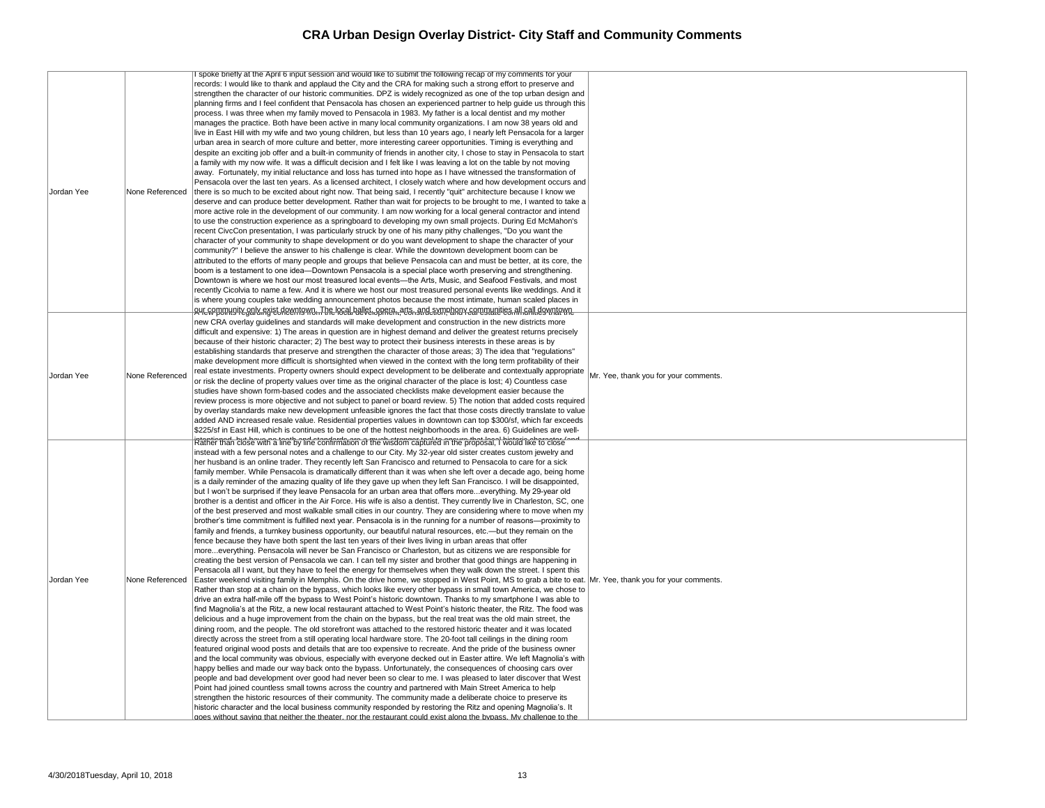| Jordan Yee        | None Referenced | spoke briefly at the April 6 input session and would like to submit the following recap of my comments for your<br>records: I would like to thank and applaud the City and the CRA for making such a strong effort to preserve and<br>strengthen the character of our historic communities. DPZ is widely recognized as one of the top urban design and<br>planning firms and I feel confident that Pensacola has chosen an experienced partner to help guide us through this<br>process. I was three when my family moved to Pensacola in 1983. My father is a local dentist and my mother<br>manages the practice. Both have been active in many local community organizations. I am now 38 years old and<br>live in East Hill with my wife and two young children, but less than 10 years ago, I nearly left Pensacola for a larger<br>urban area in search of more culture and better, more interesting career opportunities. Timing is everything and<br>despite an exciting job offer and a built-in community of friends in another city, I chose to stay in Pensacola to start<br>a family with my now wife. It was a difficult decision and I felt like I was leaving a lot on the table by not moving<br>away. Fortunately, my initial reluctance and loss has turned into hope as I have witnessed the transformation of<br>Pensacola over the last ten years. As a licensed architect, I closely watch where and how development occurs and<br>there is so much to be excited about right now. That being said, I recently "quit" architecture because I know we<br>deserve and can produce better development. Rather than wait for projects to be brought to me, I wanted to take a<br>more active role in the development of our community. I am now working for a local general contractor and intend<br>to use the construction experience as a springboard to developing my own small projects. During Ed McMahon's<br>recent CivcCon presentation, I was particularly struck by one of his many pithy challenges, "Do you want the<br>character of your community to shape development or do you want development to shape the character of your<br>community?" I believe the answer to his challenge is clear. While the downtown development boom can be<br>attributed to the efforts of many people and groups that believe Pensacola can and must be better, at its core, the<br>boom is a testament to one idea—Downtown Pensacola is a special place worth preserving and strengthening.<br>Downtown is where we host our most treasured local events—the Arts, Music, and Seafood Festivals, and most<br>recently Cicolvia to name a few. And it is where we host our most treasured personal events like weddings. And it<br>is where young couples take wedding announcement photos because the most intimate, human scaled places in<br>AHEGOPOMINITEGAIKIASISLAKKENTOWO.The IOCal hallet opata na to and symphony caregualities all gall downtown                                                                                                                                                                                                                                                                                                                                                                                                                                                                                                                 |             |
|-------------------|-----------------|-------------------------------------------------------------------------------------------------------------------------------------------------------------------------------------------------------------------------------------------------------------------------------------------------------------------------------------------------------------------------------------------------------------------------------------------------------------------------------------------------------------------------------------------------------------------------------------------------------------------------------------------------------------------------------------------------------------------------------------------------------------------------------------------------------------------------------------------------------------------------------------------------------------------------------------------------------------------------------------------------------------------------------------------------------------------------------------------------------------------------------------------------------------------------------------------------------------------------------------------------------------------------------------------------------------------------------------------------------------------------------------------------------------------------------------------------------------------------------------------------------------------------------------------------------------------------------------------------------------------------------------------------------------------------------------------------------------------------------------------------------------------------------------------------------------------------------------------------------------------------------------------------------------------------------------------------------------------------------------------------------------------------------------------------------------------------------------------------------------------------------------------------------------------------------------------------------------------------------------------------------------------------------------------------------------------------------------------------------------------------------------------------------------------------------------------------------------------------------------------------------------------------------------------------------------------------------------------------------------------------------------------------------------------------------------------------------------------------------------------------------------------------------------------------------------------------------------------------------------------------------------------------------------------------------------------------------------------------------------------------------------------------------------------------------------------------------------------------------------------------------------------------------------------------------------------------------------------------------------------------------------------------------------------------------------------------------------------------------------------------------------------------------------------------------------------------------------------------------------------------|-------------|
| <b>Jordan Yee</b> | None Referenced | new CRA overlay guidelines and standards will make development and construction in the new districts more<br>difficult and expensive: 1) The areas in question are in highest demand and deliver the greatest returns precisely<br>because of their historic character; 2) The best way to protect their business interests in these areas is by<br>establishing standards that preserve and strengthen the character of those areas; 3) The idea that "regulations"<br>make development more difficult is shortsighted when viewed in the context with the long term profitability of their<br>real estate investments. Property owners should expect development to be deliberate and contextually appropriate<br>or risk the decline of property values over time as the original character of the place is lost; 4) Countless case<br>studies have shown form-based codes and the associated checklists make development easier because the<br>review process is more objective and not subject to panel or board review. 5) The notion that added costs required<br>by overlay standards make new development unfeasible ignores the fact that those costs directly translate to value<br>added AND increased resale value. Residential properties values in downtown can top \$300/sf, which far exceeds<br>\$225/sf in East Hill, which is continues to be one of the hottest neighborhoods in the area. 6) Guidelines are well-                                                                                                                                                                                                                                                                                                                                                                                                                                                                                                                                                                                                                                                                                                                                                                                                                                                                                                                                                                                                                                                                                                                                                                                                                                                                                                                                                                                                                                                                                                                                                                                                                                                                                                                                                                                                                                                                                                                                                                                                                                                         | Mr. Yee, th |
| Jordan Yee        | None Referenced | intantie nach but bewann a theth o fine confirmation of the wisdom captured in the proposal, I would like to close<br>instead with a few personal notes and a challenge to our City. My 32-year old sister creates custom jewelry and<br>her husband is an online trader. They recently left San Francisco and returned to Pensacola to care for a sick<br>family member. While Pensacola is dramatically different than it was when she left over a decade ago, being home<br>is a daily reminder of the amazing quality of life they gave up when they left San Francisco. I will be disappointed,<br>but I won't be surprised if they leave Pensacola for an urban area that offers moreeverything. My 29-year old<br>brother is a dentist and officer in the Air Force. His wife is also a dentist. They currently live in Charleston, SC, one<br>of the best preserved and most walkable small cities in our country. They are considering where to move when my<br>brother's time commitment is fulfilled next year. Pensacola is in the running for a number of reasons—proximity to<br>family and friends, a turnkey business opportunity, our beautiful natural resources, etc.—but they remain on the<br>fence because they have both spent the last ten years of their lives living in urban areas that offer<br>moreeverything. Pensacola will never be San Francisco or Charleston, but as citizens we are responsible for<br>creating the best version of Pensacola we can. I can tell my sister and brother that good things are happening in<br>Pensacola all I want, but they have to feel the energy for themselves when they walk down the street. I spent this<br>Easter weekend visiting family in Memphis. On the drive home, we stopped in West Point, MS to grab a bite to eat. Mr. Yee, th<br>Rather than stop at a chain on the bypass, which looks like every other bypass in small town America, we chose to<br>drive an extra half-mile off the bypass to West Point's historic downtown. Thanks to my smartphone I was able to<br>find Magnolia's at the Ritz, a new local restaurant attached to West Point's historic theater, the Ritz. The food was<br>delicious and a huge improvement from the chain on the bypass, but the real treat was the old main street, the<br>dining room, and the people. The old storefront was attached to the restored historic theater and it was located<br>directly across the street from a still operating local hardware store. The 20-foot tall ceilings in the dining room<br>featured original wood posts and details that are too expensive to recreate. And the pride of the business owner<br>and the local community was obvious, especially with everyone decked out in Easter attire. We left Magnolia's with<br>happy bellies and made our way back onto the bypass. Unfortunately, the consequences of choosing cars over<br>people and bad development over good had never been so clear to me. I was pleased to later discover that West<br>Point had joined countless small towns across the country and partnered with Main Street America to help<br>strengthen the historic resources of their community. The community made a deliberate choice to preserve its<br>historic character and the local business community responded by restoring the Ritz and opening Magnolia's. It<br>noes without saving that neither the theater nor the restaurant could exist along the bypass. My challenge to the |             |

hank you for your comments.

hank you for your comments.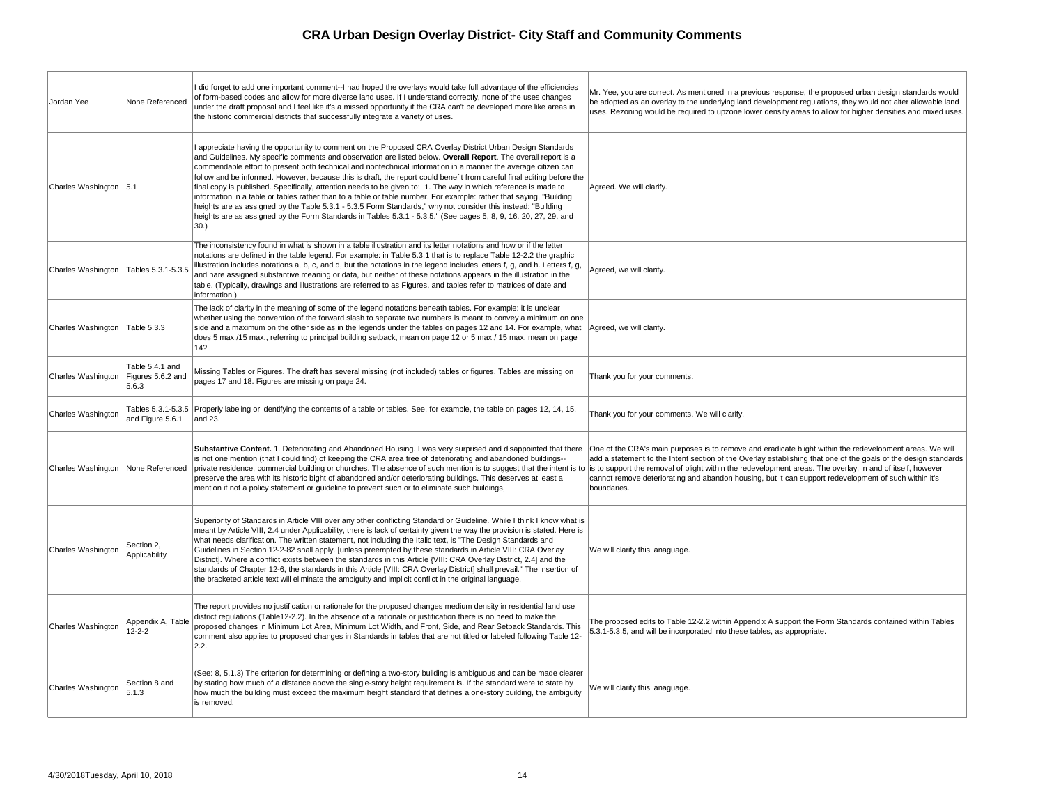| Jordan Yee             | None Referenced                               | I did forget to add one important comment--I had hoped the overlays would take full advantage of the efficiencies<br>of form-based codes and allow for more diverse land uses. If I understand correctly, none of the uses changes<br>under the draft proposal and I feel like it's a missed opportunity if the CRA can't be developed more like areas in<br>the historic commercial districts that successfully integrate a variety of uses.                                                                                                                                                                                                                                                                                                                                                                                                                                                                                                             | Mr. Yee, you are correct. As mentioned in a p<br>be adopted as an overlay to the underlying la<br>uses. Rezoning would be required to upzone                                                                    |
|------------------------|-----------------------------------------------|-----------------------------------------------------------------------------------------------------------------------------------------------------------------------------------------------------------------------------------------------------------------------------------------------------------------------------------------------------------------------------------------------------------------------------------------------------------------------------------------------------------------------------------------------------------------------------------------------------------------------------------------------------------------------------------------------------------------------------------------------------------------------------------------------------------------------------------------------------------------------------------------------------------------------------------------------------------|-----------------------------------------------------------------------------------------------------------------------------------------------------------------------------------------------------------------|
| Charles Washington 5.1 |                                               | appreciate having the opportunity to comment on the Proposed CRA Overlay District Urban Design Standards<br>and Guidelines. My specific comments and observation are listed below. Overall Report. The overall report is a<br>commendable effort to present both technical and nontechnical information in a manner the average citizen can<br>follow and be informed. However, because this is draft, the report could benefit from careful final editing before the<br>final copy is published. Specifically, attention needs to be given to: 1. The way in which reference is made to<br>information in a table or tables rather than to a table or table number. For example: rather that saying, "Building<br>heights are as assigned by the Table 5.3.1 - 5.3.5 Form Standards," why not consider this instead: "Building<br>heights are as assigned by the Form Standards in Tables 5.3.1 - 5.3.5." (See pages 5, 8, 9, 16, 20, 27, 29, and<br>30. | Agreed. We will clarify.                                                                                                                                                                                        |
| Charles Washington     | Tables 5.3.1-5.3.5                            | The inconsistency found in what is shown in a table illustration and its letter notations and how or if the letter<br>notations are defined in the table legend. For example: in Table 5.3.1 that is to replace Table 12-2.2 the graphic<br>illustration includes notations a, b, c, and d, but the notations in the legend includes letters f, g, and h. Letters f, g,<br>and hare assigned substantive meaning or data, but neither of these notations appears in the illustration in the<br>table. (Typically, drawings and illustrations are referred to as Figures, and tables refer to matrices of date and<br>information.)                                                                                                                                                                                                                                                                                                                        | Agreed, we will clarify.                                                                                                                                                                                        |
| Charles Washington     | Table 5.3.3                                   | The lack of clarity in the meaning of some of the legend notations beneath tables. For example: it is unclear<br>whether using the convention of the forward slash to separate two numbers is meant to convey a minimum on one<br>side and a maximum on the other side as in the legends under the tables on pages 12 and 14. For example, what<br>does 5 max./15 max., referring to principal building setback, mean on page 12 or 5 max./ 15 max. mean on page<br>14?                                                                                                                                                                                                                                                                                                                                                                                                                                                                                   | Agreed, we will clarify.                                                                                                                                                                                        |
| Charles Washington     | Table 5.4.1 and<br>Figures 5.6.2 and<br>5.6.3 | Missing Tables or Figures. The draft has several missing (not included) tables or figures. Tables are missing on<br>pages 17 and 18. Figures are missing on page 24.                                                                                                                                                                                                                                                                                                                                                                                                                                                                                                                                                                                                                                                                                                                                                                                      | Thank you for your comments.                                                                                                                                                                                    |
| Charles Washington     | and Figure 5.6.1                              | Tables 5.3.1-5.3.5 Properly labeling or identifying the contents of a table or tables. See, for example, the table on pages 12, 14, 15,<br>and 23.                                                                                                                                                                                                                                                                                                                                                                                                                                                                                                                                                                                                                                                                                                                                                                                                        | Thank you for your comments. We will clarify.                                                                                                                                                                   |
| Charles Washington     | None Referenced                               | Substantive Content. 1. Deteriorating and Abandoned Housing. I was very surprised and disappointed that there<br>is not one mention (that I could find) of keeping the CRA area free of deteriorating and abandoned buildings--<br>private residence, commercial building or churches. The absence of such mention is to suggest that the intent is to<br>preserve the area with its historic bight of abandoned and/or deteriorating buildings. This deserves at least a<br>mention if not a policy statement or guideline to prevent such or to eliminate such buildings,                                                                                                                                                                                                                                                                                                                                                                               | One of the CRA's main purposes is to remove<br>add a statement to the Intent section of the C<br>is to support the removal of blight within the re<br>cannot remove deteriorating and abandon ho<br>boundaries. |
| Charles Washington     | Section 2,<br>Applicability                   | Superiority of Standards in Article VIII over any other conflicting Standard or Guideline. While I think I know what is<br>meant by Article VIII, 2.4 under Applicability, there is lack of certainty given the way the provision is stated. Here is<br>what needs clarification. The written statement, not including the Italic text, is "The Design Standards and<br>Guidelines in Section 12-2-82 shall apply. [unless preempted by these standards in Article VIII: CRA Overlay<br>District]. Where a conflict exists between the standards in this Article {VIII: CRA Overlay District, 2.4] and the<br>standards of Chapter 12-6, the standards in this Article [VIII: CRA Overlay District] shall prevail." The insertion of<br>the bracketed article text will eliminate the ambiguity and implicit conflict in the original language.                                                                                                           | We will clarify this lanaguage.                                                                                                                                                                                 |
| Charles Washington     | Appendix A, Table<br>$12 - 2 - 2$             | The report provides no justification or rationale for the proposed changes medium density in residential land use<br>district regulations (Table12-2.2). In the absence of a rationale or justification there is no need to make the<br>proposed changes in Minimum Lot Area, Minimum Lot Width, and Front, Side, and Rear Setback Standards. This<br>comment also applies to proposed changes in Standards in tables that are not titled or labeled following Table 12-<br>2.2.                                                                                                                                                                                                                                                                                                                                                                                                                                                                          | The proposed edits to Table 12-2.2 within Ap<br>5.3.1-5.3.5, and will be incorporated into thes                                                                                                                 |
| Charles Washington     | Section 8 and<br>5.1.3                        | (See: 8, 5.1.3) The criterion for determining or defining a two-story building is ambiguous and can be made clearer<br>by stating how much of a distance above the single-story height requirement is. If the standard were to state by<br>how much the building must exceed the maximum height standard that defines a one-story building, the ambiguity<br>is removed.                                                                                                                                                                                                                                                                                                                                                                                                                                                                                                                                                                                  | We will clarify this lanaguage.                                                                                                                                                                                 |
|                        |                                               |                                                                                                                                                                                                                                                                                                                                                                                                                                                                                                                                                                                                                                                                                                                                                                                                                                                                                                                                                           |                                                                                                                                                                                                                 |

| Mr. Yee, you are correct. As mentioned in a previous response, the proposed urban design standards would<br>be adopted as an overlay to the underlying land development regulations, they would not alter allowable land<br>uses. Rezoning would be required to upzone lower density areas to allow for higher densities and mixed uses.                                                                                                                          |
|-------------------------------------------------------------------------------------------------------------------------------------------------------------------------------------------------------------------------------------------------------------------------------------------------------------------------------------------------------------------------------------------------------------------------------------------------------------------|
| Agreed. We will clarify.                                                                                                                                                                                                                                                                                                                                                                                                                                          |
| Agreed, we will clarify.                                                                                                                                                                                                                                                                                                                                                                                                                                          |
| Agreed, we will clarify.                                                                                                                                                                                                                                                                                                                                                                                                                                          |
| Thank you for your comments.                                                                                                                                                                                                                                                                                                                                                                                                                                      |
| Thank you for your comments. We will clarify.                                                                                                                                                                                                                                                                                                                                                                                                                     |
| One of the CRA's main purposes is to remove and eradicate blight within the redevelopment areas. We will<br>add a statement to the Intent section of the Overlay establishing that one of the goals of the design standards<br>is to support the removal of blight within the redevelopment areas. The overlay, in and of itself, however<br>cannot remove deteriorating and abandon housing, but it can support redevelopment of such within it's<br>boundaries. |
| We will clarify this lanaguage.                                                                                                                                                                                                                                                                                                                                                                                                                                   |
| The proposed edits to Table 12-2.2 within Appendix A support the Form Standards contained within Tables<br>5.3.1-5.3.5, and will be incorporated into these tables, as appropriate.                                                                                                                                                                                                                                                                               |
| We will clarify this lanaguage.                                                                                                                                                                                                                                                                                                                                                                                                                                   |
|                                                                                                                                                                                                                                                                                                                                                                                                                                                                   |